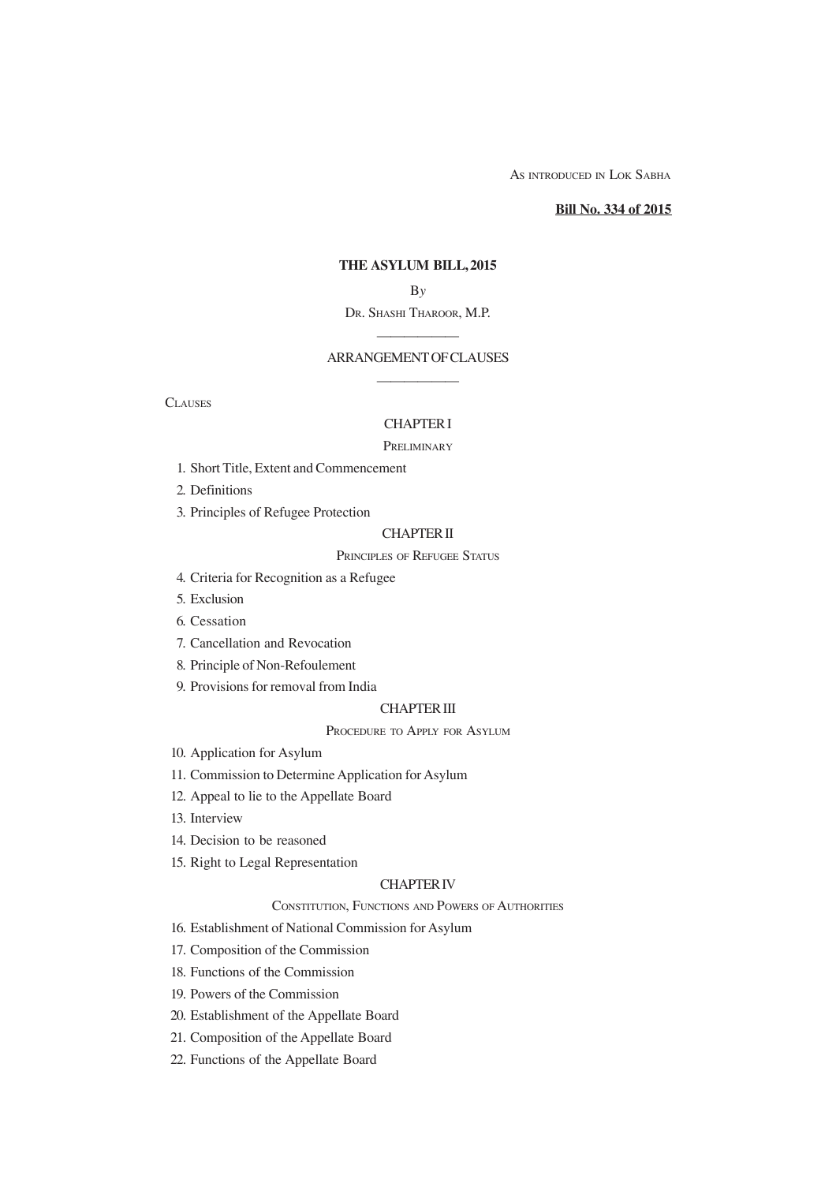AS INTRODUCED IN LOK SABHA

**Bill No. 334 of 2015**

## **THE ASYLUM BILL, 2015**

B*y*

# DR. SHASHI THAROOR, M.P. ——————

# ARRANGEMENT OF CLAUSES ——————

**CLAUSES** 

## CHAPTER I

## **PRELIMINARY**

1. Short Title, Extent and Commencement

2. Definitions

3. Principles of Refugee Protection

## CHAPTER II

## PRINCIPLES OF REFUGEE STATUS

- 4. Criteria for Recognition as a Refugee
- 5. Exclusion
- 6. Cessation
- 7. Cancellation and Revocation
- 8. Principle of Non-Refoulement
- 9. Provisions for removal from India

### CHAPTER III

## PROCEDURE TO APPLY FOR ASYLUM

- 10. Application for Asylum
- 11. Commission to Determine Application for Asylum
- 12. Appeal to lie to the Appellate Board
- 13. Interview
- 14. Decision to be reasoned
- 15. Right to Legal Representation

## CHAPTER IV

## CONSTITUTION, FUNCTIONS AND POWERS OF AUTHORITIES

16. Establishment of National Commission for Asylum

- 17. Composition of the Commission
- 18. Functions of the Commission
- 19. Powers of the Commission
- 20. Establishment of the Appellate Board
- 21. Composition of the Appellate Board
- 22. Functions of the Appellate Board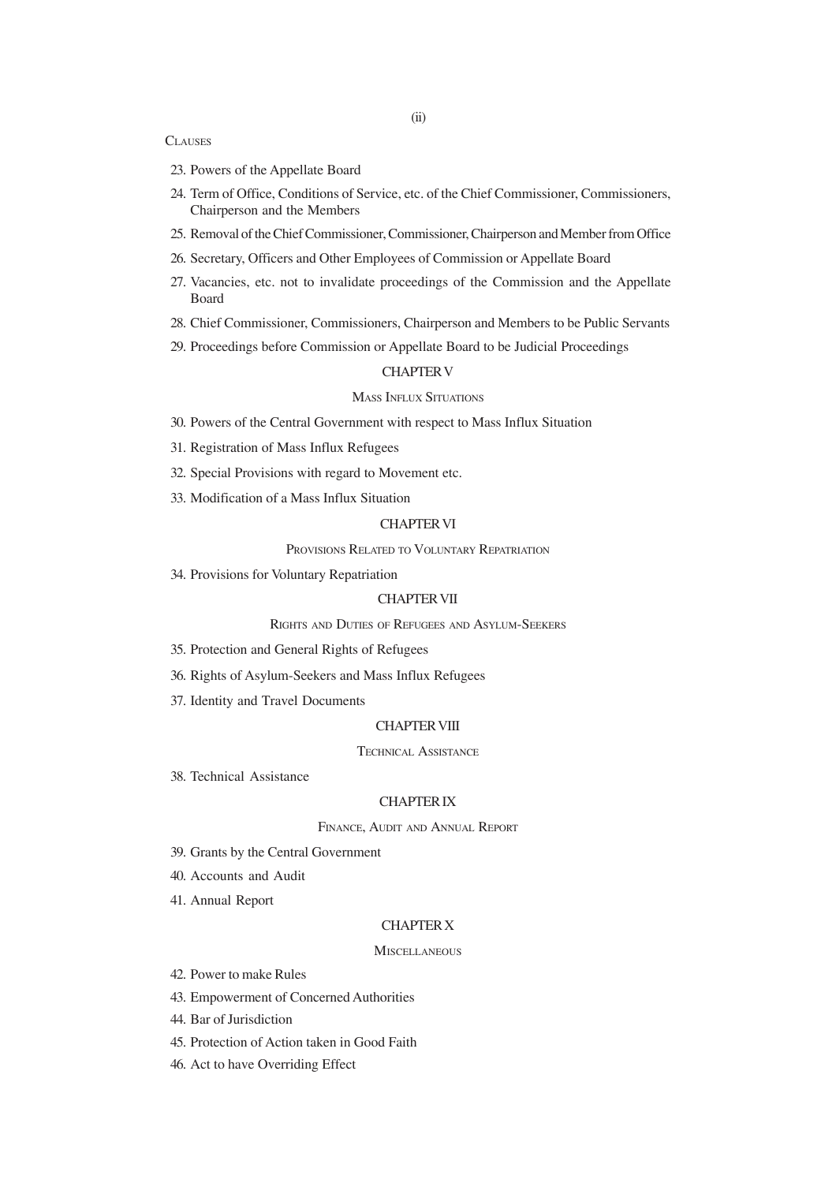#### **CLAUSES**

- 23. Powers of the Appellate Board
- 24. Term of Office, Conditions of Service, etc. of the Chief Commissioner, Commissioners, Chairperson and the Members
- 25. Removal of the Chief Commissioner, Commissioner, Chairperson and Member from Office
- 26. Secretary, Officers and Other Employees of Commission or Appellate Board
- 27. Vacancies, etc. not to invalidate proceedings of the Commission and the Appellate Board
- 28. Chief Commissioner, Commissioners, Chairperson and Members to be Public Servants
- 29. Proceedings before Commission or Appellate Board to be Judicial Proceedings

## CHAPTER V

#### MASS INFLUX SITUATIONS

- 30. Powers of the Central Government with respect to Mass Influx Situation
- 31. Registration of Mass Influx Refugees
- 32. Special Provisions with regard to Movement etc.
- 33. Modification of a Mass Influx Situation

## CHAPTER VI

## PROVISIONS RELATED TO VOLUNTARY REPATRIATION

34. Provisions for Voluntary Repatriation

## CHAPTER VII

## RIGHTS AND DUTIES OF REFUGEES AND ASYLUM-SEEKERS

- 35. Protection and General Rights of Refugees
- 36. Rights of Asylum-Seekers and Mass Influx Refugees
- 37. Identity and Travel Documents

### CHAPTER VIII

### TECHNICAL ASSISTANCE

38. Technical Assistance

#### CHAPTER IX

## FINANCE, AUDIT AND ANNUAL REPORT

- 39. Grants by the Central Government
- 40. Accounts and Audit
- 41. Annual Report

#### CHAPTER X

#### **MISCELLANEOUS**

- 42. Power to make Rules
- 43. Empowerment of Concerned Authorities
- 44. Bar of Jurisdiction
- 45. Protection of Action taken in Good Faith
- 46. Act to have Overriding Effect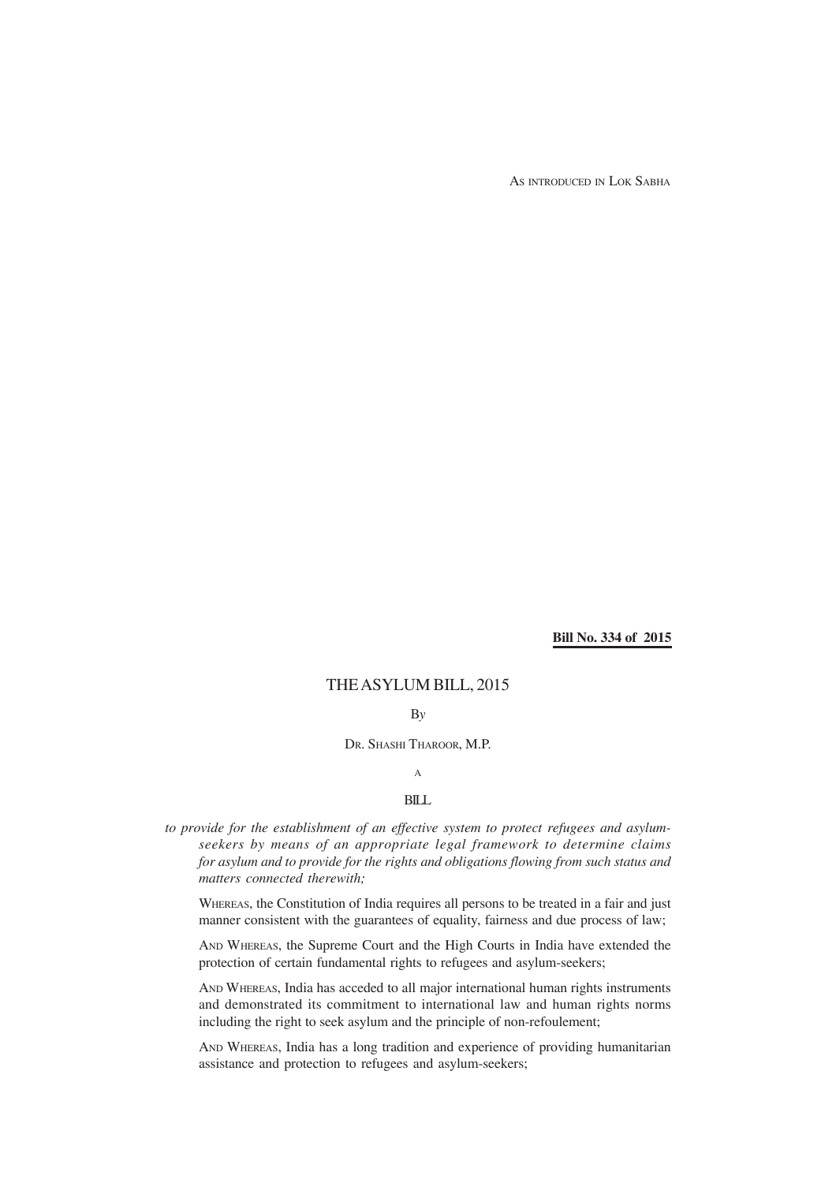AS INTRODUCED IN LOK SABHA

**Bill No. 334 of 2015**

# THE ASYLUM BILL, 2015

B*y*

DR. SHASHI THAROOR, M.P.

## A

## BILL

*to provide for the establishment of an effective system to protect refugees and asylumseekers by means of an appropriate legal framework to determine claims for asylum and to provide for the rights and obligations flowing from such status and matters connected therewith;*

WHEREAS, the Constitution of India requires all persons to be treated in a fair and just manner consistent with the guarantees of equality, fairness and due process of law;

AND WHEREAS, the Supreme Court and the High Courts in India have extended the protection of certain fundamental rights to refugees and asylum-seekers;

AND WHEREAS, India has acceded to all major international human rights instruments and demonstrated its commitment to international law and human rights norms including the right to seek asylum and the principle of non-refoulement;

AND WHEREAS, India has a long tradition and experience of providing humanitarian assistance and protection to refugees and asylum-seekers;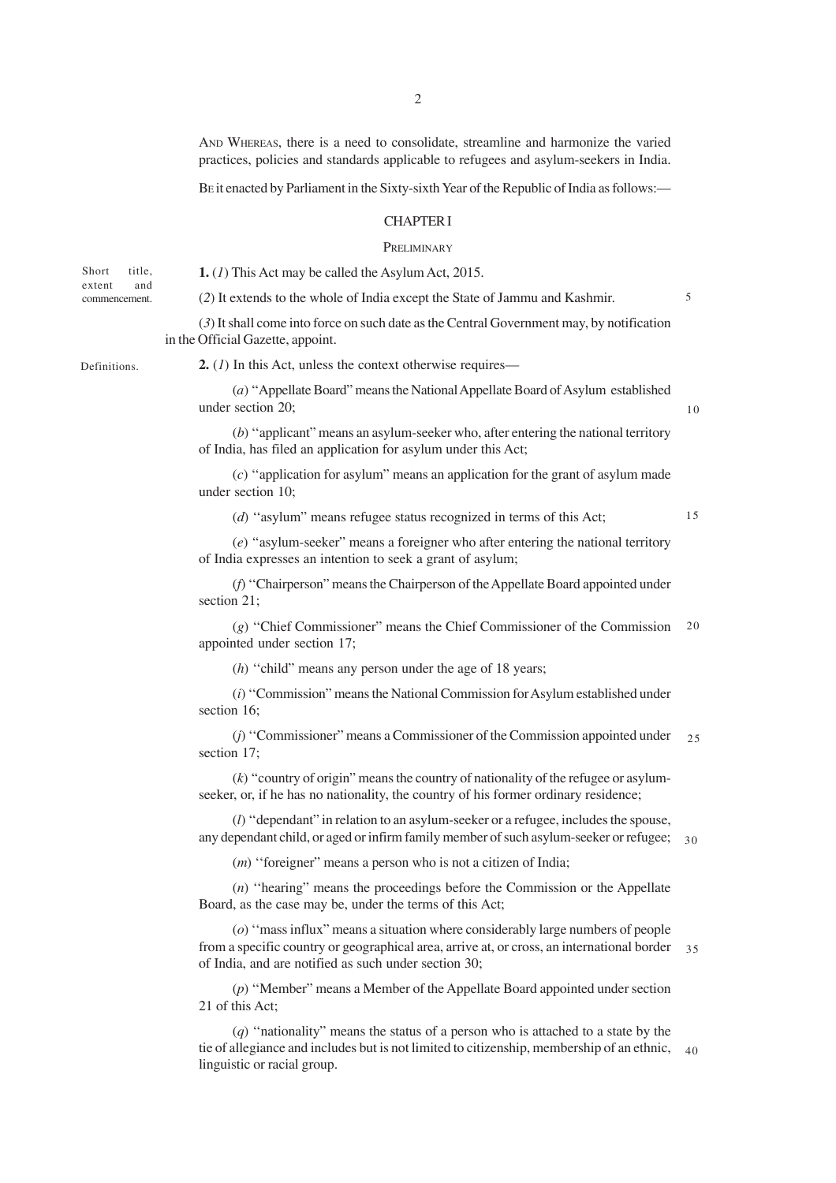AND WHEREAS, there is a need to consolidate, streamline and harmonize the varied practices, policies and standards applicable to refugees and asylum-seekers in India.

BE it enacted by Parliament in the Sixty-sixth Year of the Republic of India as follows:—

## CHAPTER I

#### **PRELIMINARY**

(*2*) It extends to the whole of India except the State of Jammu and Kashmir.

Short title. extent and commencement.

**1.** (*1*) This Act may be called the Asylum Act, 2015.

5

(*3*) It shall come into force on such date as the Central Government may, by notification in the Official Gazette, appoint.

Definitions.

**2.** (*1*) In this Act, unless the context otherwise requires—

(*a*) ''Appellate Board" means the National Appellate Board of Asylum established under section 20;

(*b*) ''applicant" means an asylum-seeker who, after entering the national territory of India, has filed an application for asylum under this Act;

(*c*) ''application for asylum" means an application for the grant of asylum made under section 10;

(*d*) ''asylum" means refugee status recognized in terms of this Act;

15

10

(*e*) ''asylum-seeker" means a foreigner who after entering the national territory of India expresses an intention to seek a grant of asylum;

(*f*) ''Chairperson" means the Chairperson of the Appellate Board appointed under section 21;

(*g*) ''Chief Commissioner" means the Chief Commissioner of the Commission 20 appointed under section 17;

(*h*) ''child" means any person under the age of 18 years;

(*i*) ''Commission" means the National Commission for Asylum established under section 16;

(*j*) ''Commissioner" means a Commissioner of the Commission appointed under section 17; 25

 $(k)$  "country of origin" means the country of nationality of the refugee or asylumseeker, or, if he has no nationality, the country of his former ordinary residence;

(*l*) ''dependant" in relation to an asylum-seeker or a refugee, includes the spouse, any dependant child, or aged or infirm family member of such asylum-seeker or refugee; 30

(*m*) "foreigner" means a person who is not a citizen of India;

(*n*) ''hearing" means the proceedings before the Commission or the Appellate Board, as the case may be, under the terms of this Act;

(*o*) ''mass influx" means a situation where considerably large numbers of people from a specific country or geographical area, arrive at, or cross, an international border of India, and are notified as such under section 30; 35

(*p*) ''Member" means a Member of the Appellate Board appointed under section 21 of this Act;

(*q*) ''nationality" means the status of a person who is attached to a state by the tie of allegiance and includes but is not limited to citizenship, membership of an ethnic, 40 linguistic or racial group.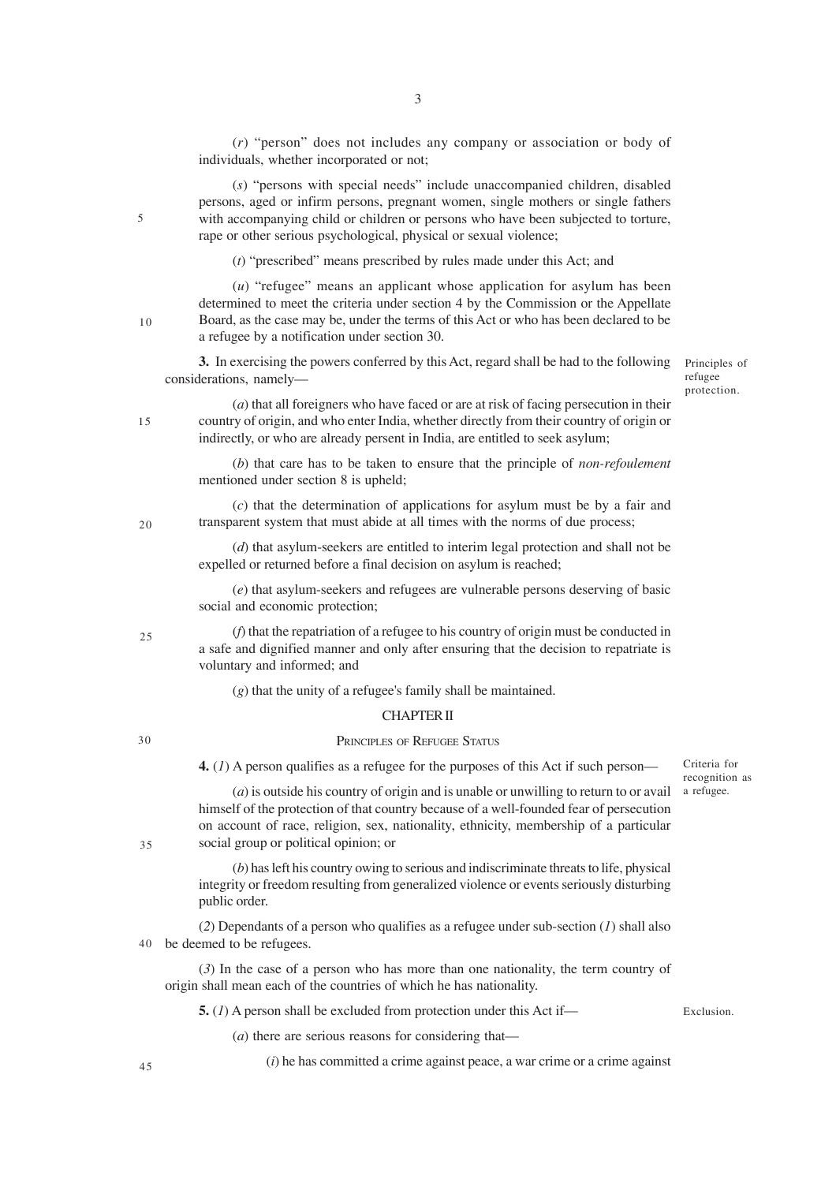(*r*) "person" does not includes any company or association or body of individuals, whether incorporated or not;

(*s*) "persons with special needs" include unaccompanied children, disabled persons, aged or infirm persons, pregnant women, single mothers or single fathers with accompanying child or children or persons who have been subjected to torture, rape or other serious psychological, physical or sexual violence;

(*t*) "prescribed" means prescribed by rules made under this Act; and

(*u*) "refugee" means an applicant whose application for asylum has been determined to meet the criteria under section 4 by the Commission or the Appellate Board, as the case may be, under the terms of this Act or who has been declared to be a refugee by a notification under section 30.

**3.** In exercising the powers conferred by this Act, regard shall be had to the following considerations, namely—

Principles of refugee protection.

(*a*) that all foreigners who have faced or are at risk of facing persecution in their country of origin, and who enter India, whether directly from their country of origin or indirectly, or who are already persent in India, are entitled to seek asylum;

(*b*) that care has to be taken to ensure that the principle of *non-refoulement* mentioned under section 8 is upheld;

(*c*) that the determination of applications for asylum must be by a fair and transparent system that must abide at all times with the norms of due process;

(*d*) that asylum-seekers are entitled to interim legal protection and shall not be expelled or returned before a final decision on asylum is reached;

(*e*) that asylum-seekers and refugees are vulnerable persons deserving of basic social and economic protection;

(*f*) that the repatriation of a refugee to his country of origin must be conducted in a safe and dignified manner and only after ensuring that the decision to repatriate is voluntary and informed; and

(*g*) that the unity of a refugee's family shall be maintained.

### CHAPTER II

#### 30

35

 $25$ 

PRINCIPLES OF REFUGEE STATUS

**4.** (*1*) A person qualifies as a refugee for the purposes of this Act if such person—

Criteria for recognition as a refugee.

(*a*) is outside his country of origin and is unable or unwilling to return to or avail himself of the protection of that country because of a well-founded fear of persecution on account of race, religion, sex, nationality, ethnicity, membership of a particular social group or political opinion; or

(*b*) has left his country owing to serious and indiscriminate threats to life, physical integrity or freedom resulting from generalized violence or events seriously disturbing public order.

(*2*) Dependants of a person who qualifies as a refugee under sub-section (*1*) shall also be deemed to be refugees. 40

(*3*) In the case of a person who has more than one nationality, the term country of origin shall mean each of the countries of which he has nationality.

**5.** (*1*) A person shall be excluded from protection under this Act if—

Exclusion.

(*a*) there are serious reasons for considering that—

(*i*) he has committed a crime against peace, a war crime or a crime against

45

10

15

20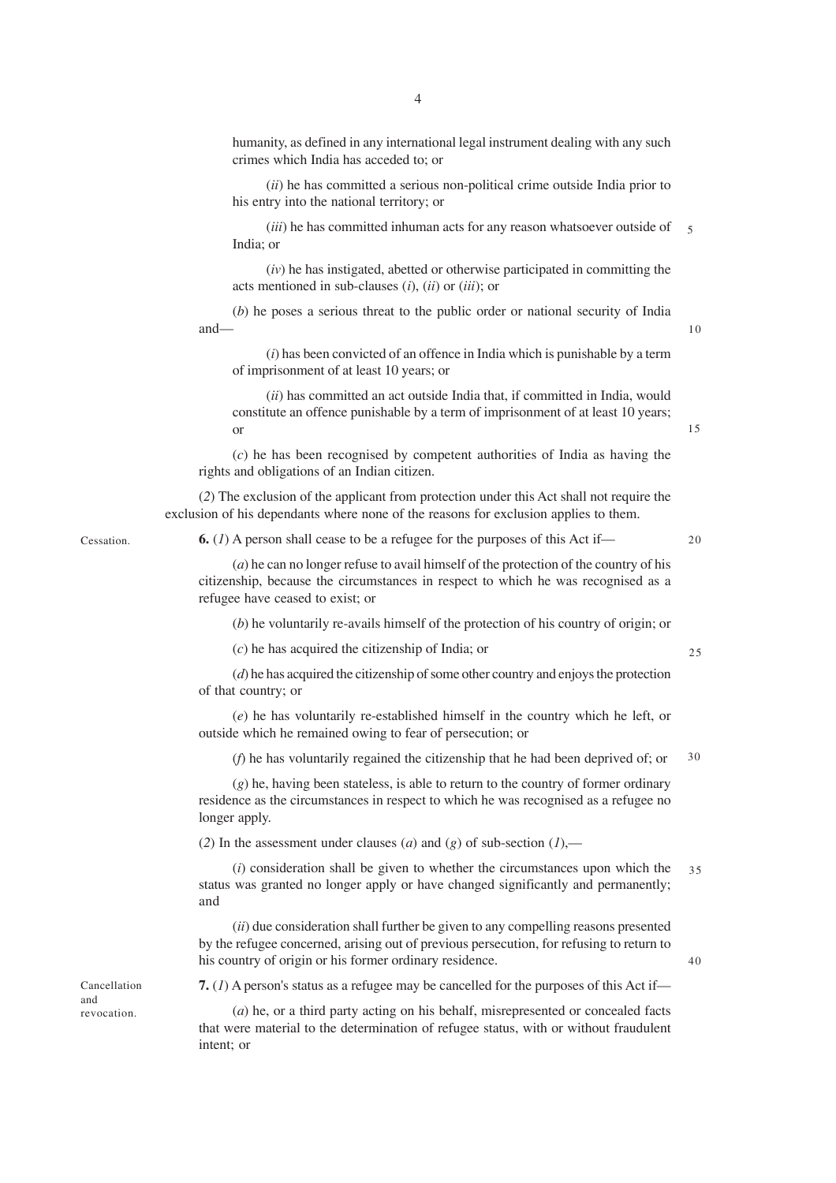humanity, as defined in any international legal instrument dealing with any such crimes which India has acceded to; or

(*ii*) he has committed a serious non-political crime outside India prior to his entry into the national territory; or

(*iii*) he has committed inhuman acts for any reason whatsoever outside of India; or 5

(*iv*) he has instigated, abetted or otherwise participated in committing the acts mentioned in sub-clauses (*i*), (*ii*) or (*iii*); or

(*b*) he poses a serious threat to the public order or national security of India and—

(*i*) has been convicted of an offence in India which is punishable by a term of imprisonment of at least 10 years; or

(*ii*) has committed an act outside India that, if committed in India, would constitute an offence punishable by a term of imprisonment of at least 10 years; or

(*c*) he has been recognised by competent authorities of India as having the rights and obligations of an Indian citizen.

(*2*) The exclusion of the applicant from protection under this Act shall not require the exclusion of his dependants where none of the reasons for exclusion applies to them.

Cessation.

**6.** (*1*) A person shall cease to be a refugee for the purposes of this Act if—

20

25

40

 $1<sub>0</sub>$ 

15

(*a*) he can no longer refuse to avail himself of the protection of the country of his citizenship, because the circumstances in respect to which he was recognised as a refugee have ceased to exist; or

(*b*) he voluntarily re-avails himself of the protection of his country of origin; or

(*c*) he has acquired the citizenship of India; or

(*d*) he has acquired the citizenship of some other country and enjoys the protection of that country; or

(*e*) he has voluntarily re-established himself in the country which he left, or outside which he remained owing to fear of persecution; or

(*f*) he has voluntarily regained the citizenship that he had been deprived of; or 30

(*g*) he, having been stateless, is able to return to the country of former ordinary residence as the circumstances in respect to which he was recognised as a refugee no longer apply.

(2) In the assessment under clauses (*a*) and (*g*) of sub-section (*1*),—

(*i*) consideration shall be given to whether the circumstances upon which the status was granted no longer apply or have changed significantly and permanently; and 35

(*ii*) due consideration shall further be given to any compelling reasons presented by the refugee concerned, arising out of previous persecution, for refusing to return to his country of origin or his former ordinary residence.

**7.** (*1*) A person's status as a refugee may be cancelled for the purposes of this Act if—

(*a*) he, or a third party acting on his behalf, misrepresented or concealed facts that were material to the determination of refugee status, with or without fraudulent intent; or

Cancellation and revocation.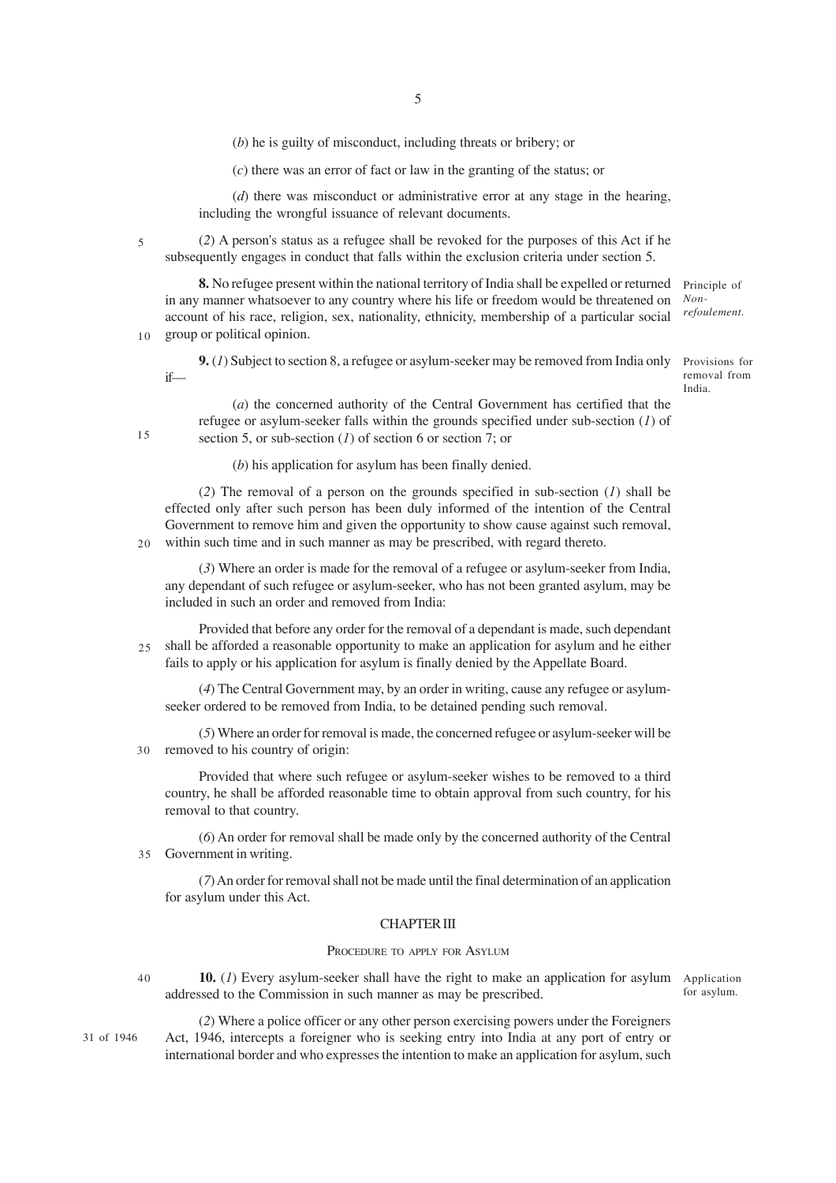(*b*) he is guilty of misconduct, including threats or bribery; or

(*c*) there was an error of fact or law in the granting of the status; or

(*d*) there was misconduct or administrative error at any stage in the hearing, including the wrongful issuance of relevant documents.

(*2*) A person's status as a refugee shall be revoked for the purposes of this Act if he subsequently engages in conduct that falls within the exclusion criteria under section 5.

**8.** No refugee present within the national territory of India shall be expelled or returned in any manner whatsoever to any country where his life or freedom would be threatened on account of his race, religion, sex, nationality, ethnicity, membership of a particular social group or political opinion.

**9.** (*1*) Subject to section 8, a refugee or asylum-seeker may be removed from India only if—

(*a*) the concerned authority of the Central Government has certified that the refugee or asylum-seeker falls within the grounds specified under sub-section (*1*) of section 5, or sub-section  $(I)$  of section 6 or section 7; or

(*b*) his application for asylum has been finally denied.

(*2*) The removal of a person on the grounds specified in sub-section (*1*) shall be effected only after such person has been duly informed of the intention of the Central Government to remove him and given the opportunity to show cause against such removal, within such time and in such manner as may be prescribed, with regard thereto.  $20$ 

(*3*) Where an order is made for the removal of a refugee or asylum-seeker from India, any dependant of such refugee or asylum-seeker, who has not been granted asylum, may be included in such an order and removed from India:

Provided that before any order for the removal of a dependant is made, such dependant shall be afforded a reasonable opportunity to make an application for asylum and he either fails to apply or his application for asylum is finally denied by the Appellate Board. 25

(*4*) The Central Government may, by an order in writing, cause any refugee or asylumseeker ordered to be removed from India, to be detained pending such removal.

(*5*) Where an order for removal is made, the concerned refugee or asylum-seeker will be removed to his country of origin:  $30$ 

Provided that where such refugee or asylum-seeker wishes to be removed to a third country, he shall be afforded reasonable time to obtain approval from such country, for his removal to that country.

(*6*) An order for removal shall be made only by the concerned authority of the Central Government in writing. 35

(*7*) An order for removal shall not be made until the final determination of an application for asylum under this Act.

## CHAPTER III

#### PROCEDURE TO APPLY FOR ASYLUM

**10.** (1) Every asylum-seeker shall have the right to make an application for asylum Application addressed to the Commission in such manner as may be prescribed.

for asylum.

31 of 1946

40

5

 $1<sub>0</sub>$ 

15

(*2*) Where a police officer or any other person exercising powers under the Foreigners Act, 1946, intercepts a foreigner who is seeking entry into India at any port of entry or international border and who expresses the intention to make an application for asylum, such

Principle of *Nonrefoulement.*

Provisions for removal from India.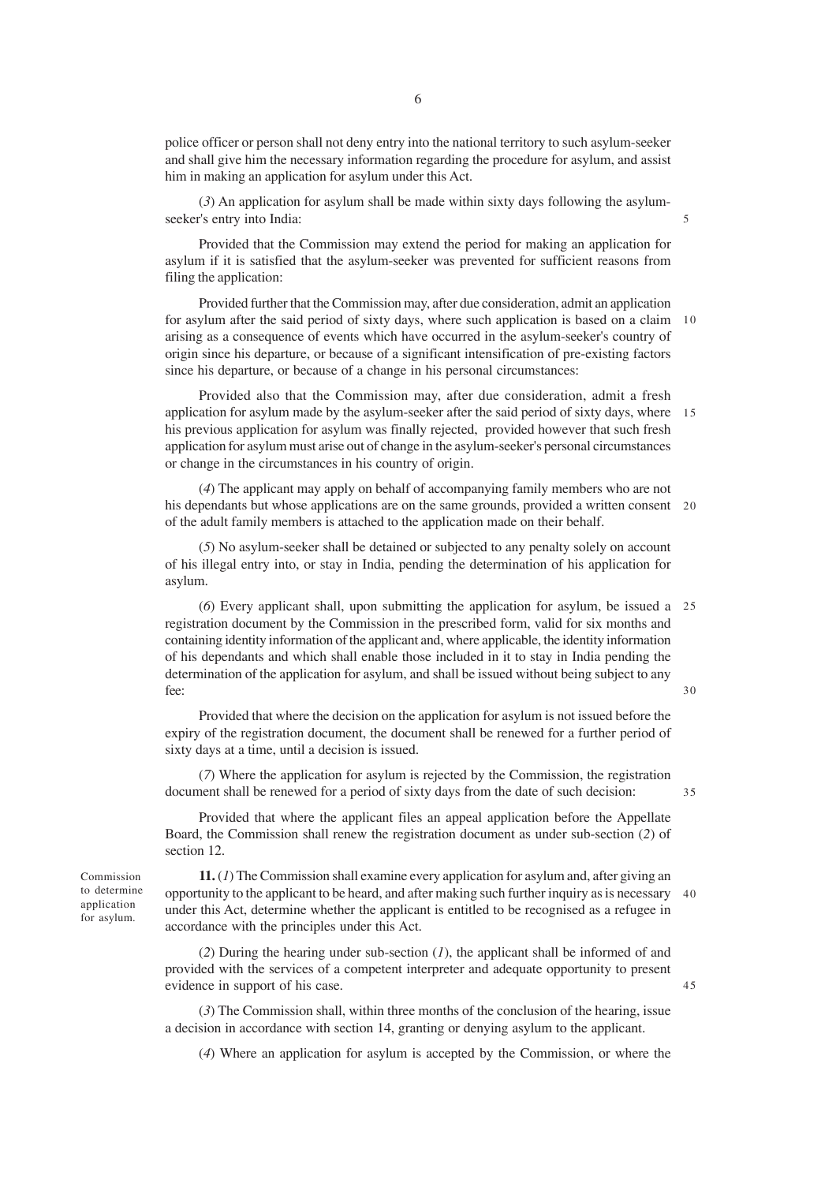police officer or person shall not deny entry into the national territory to such asylum-seeker and shall give him the necessary information regarding the procedure for asylum, and assist him in making an application for asylum under this Act.

(*3*) An application for asylum shall be made within sixty days following the asylumseeker's entry into India:

Provided that the Commission may extend the period for making an application for asylum if it is satisfied that the asylum-seeker was prevented for sufficient reasons from filing the application:

Provided further that the Commission may, after due consideration, admit an application for asylum after the said period of sixty days, where such application is based on a claim 10 arising as a consequence of events which have occurred in the asylum-seeker's country of origin since his departure, or because of a significant intensification of pre-existing factors since his departure, or because of a change in his personal circumstances:

Provided also that the Commission may, after due consideration, admit a fresh application for asylum made by the asylum-seeker after the said period of sixty days, where 15 his previous application for asylum was finally rejected, provided however that such fresh application for asylum must arise out of change in the asylum-seeker's personal circumstances or change in the circumstances in his country of origin.

(*4*) The applicant may apply on behalf of accompanying family members who are not his dependants but whose applications are on the same grounds, provided a written consent 20 of the adult family members is attached to the application made on their behalf.

(*5*) No asylum-seeker shall be detained or subjected to any penalty solely on account of his illegal entry into, or stay in India, pending the determination of his application for asylum.

(*6*) Every applicant shall, upon submitting the application for asylum, be issued a 25 registration document by the Commission in the prescribed form, valid for six months and containing identity information of the applicant and, where applicable, the identity information of his dependants and which shall enable those included in it to stay in India pending the determination of the application for asylum, and shall be issued without being subject to any fee:  $30$ 

Provided that where the decision on the application for asylum is not issued before the expiry of the registration document, the document shall be renewed for a further period of sixty days at a time, until a decision is issued.

(*7*) Where the application for asylum is rejected by the Commission, the registration document shall be renewed for a period of sixty days from the date of such decision:

Provided that where the applicant files an appeal application before the Appellate Board, the Commission shall renew the registration document as under sub-section (*2*) of section 12.

**11.** (*1*) The Commission shall examine every application for asylum and, after giving an opportunity to the applicant to be heard, and after making such further inquiry as is necessary 40 under this Act, determine whether the applicant is entitled to be recognised as a refugee in accordance with the principles under this Act.

(*2*) During the hearing under sub-section (*1*), the applicant shall be informed of and provided with the services of a competent interpreter and adequate opportunity to present evidence in support of his case.

(*3*) The Commission shall, within three months of the conclusion of the hearing, issue a decision in accordance with section 14, granting or denying asylum to the applicant.

(*4*) Where an application for asylum is accepted by the Commission, or where the

Commission to determine application for asylum.

45

35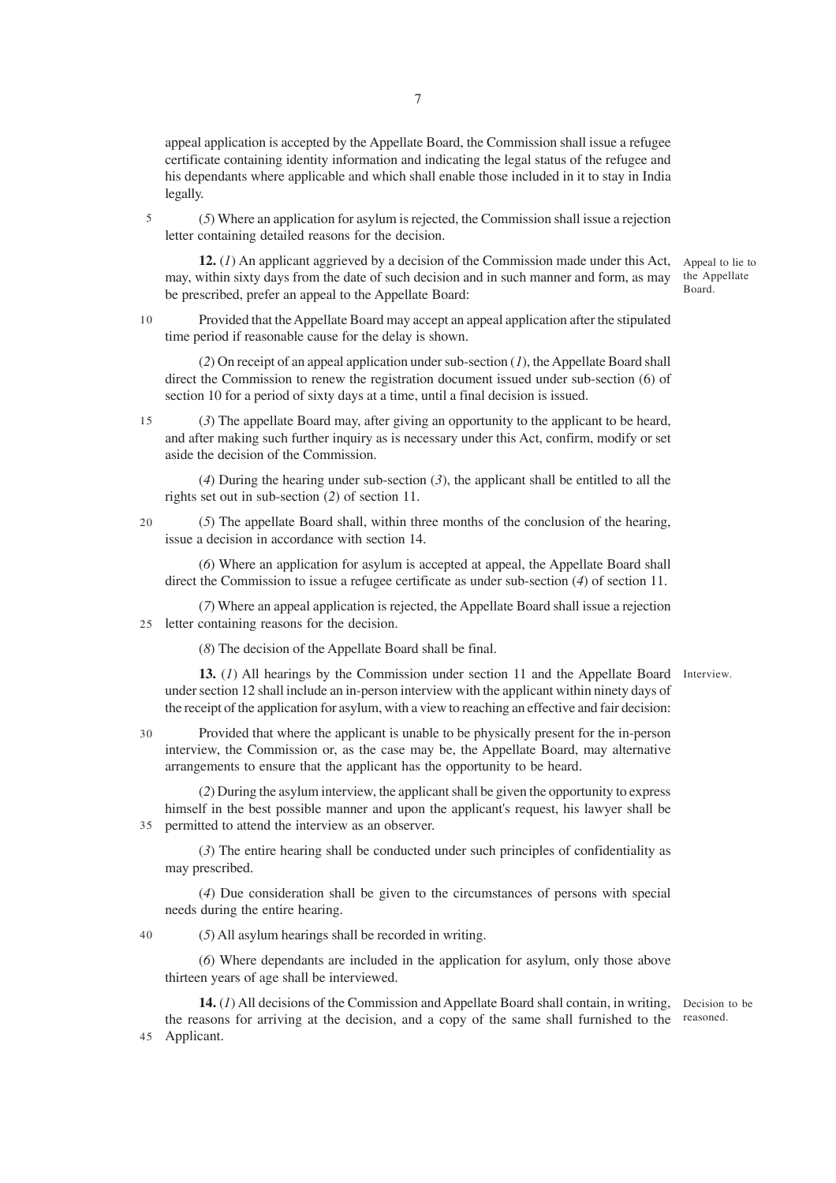appeal application is accepted by the Appellate Board, the Commission shall issue a refugee certificate containing identity information and indicating the legal status of the refugee and his dependants where applicable and which shall enable those included in it to stay in India legally.

(*5*) Where an application for asylum is rejected, the Commission shall issue a rejection letter containing detailed reasons for the decision. 5

**12.** (*1*) An applicant aggrieved by a decision of the Commission made under this Act, may, within sixty days from the date of such decision and in such manner and form, as may be prescribed, prefer an appeal to the Appellate Board:

Provided that the Appellate Board may accept an appeal application after the stipulated time period if reasonable cause for the delay is shown. 10

(*2*) On receipt of an appeal application under sub-section (*1*), the Appellate Board shall direct the Commission to renew the registration document issued under sub-section (6) of section 10 for a period of sixty days at a time, until a final decision is issued.

(*3*) The appellate Board may, after giving an opportunity to the applicant to be heard, and after making such further inquiry as is necessary under this Act, confirm, modify or set aside the decision of the Commission. 15

(*4*) During the hearing under sub-section (*3*), the applicant shall be entitled to all the rights set out in sub-section (*2*) of section 11.

(*5*) The appellate Board shall, within three months of the conclusion of the hearing, issue a decision in accordance with section 14.

(*6*) Where an application for asylum is accepted at appeal, the Appellate Board shall direct the Commission to issue a refugee certificate as under sub-section (*4*) of section 11.

(*7*) Where an appeal application is rejected, the Appellate Board shall issue a rejection 25 letter containing reasons for the decision.

(*8*) The decision of the Appellate Board shall be final.

13. (1) All hearings by the Commission under section 11 and the Appellate Board Interview. under section 12 shall include an in-person interview with the applicant within ninety days of the receipt of the application for asylum, with a view to reaching an effective and fair decision:

30

40

Provided that where the applicant is unable to be physically present for the in-person interview, the Commission or, as the case may be, the Appellate Board, may alternative arrangements to ensure that the applicant has the opportunity to be heard.

(*2*) During the asylum interview, the applicant shall be given the opportunity to express himself in the best possible manner and upon the applicant's request, his lawyer shall be permitted to attend the interview as an observer. 35

(*3*) The entire hearing shall be conducted under such principles of confidentiality as may prescribed.

(*4*) Due consideration shall be given to the circumstances of persons with special needs during the entire hearing.

(*5*) All asylum hearings shall be recorded in writing.

(*6*) Where dependants are included in the application for asylum, only those above thirteen years of age shall be interviewed.

**14.** (*1*) All decisions of the Commission and Appellate Board shall contain, in writing, Decision to be the reasons for arriving at the decision, and a copy of the same shall furnished to the reasoned. 45 Applicant.

Appeal to lie to the Appellate Board.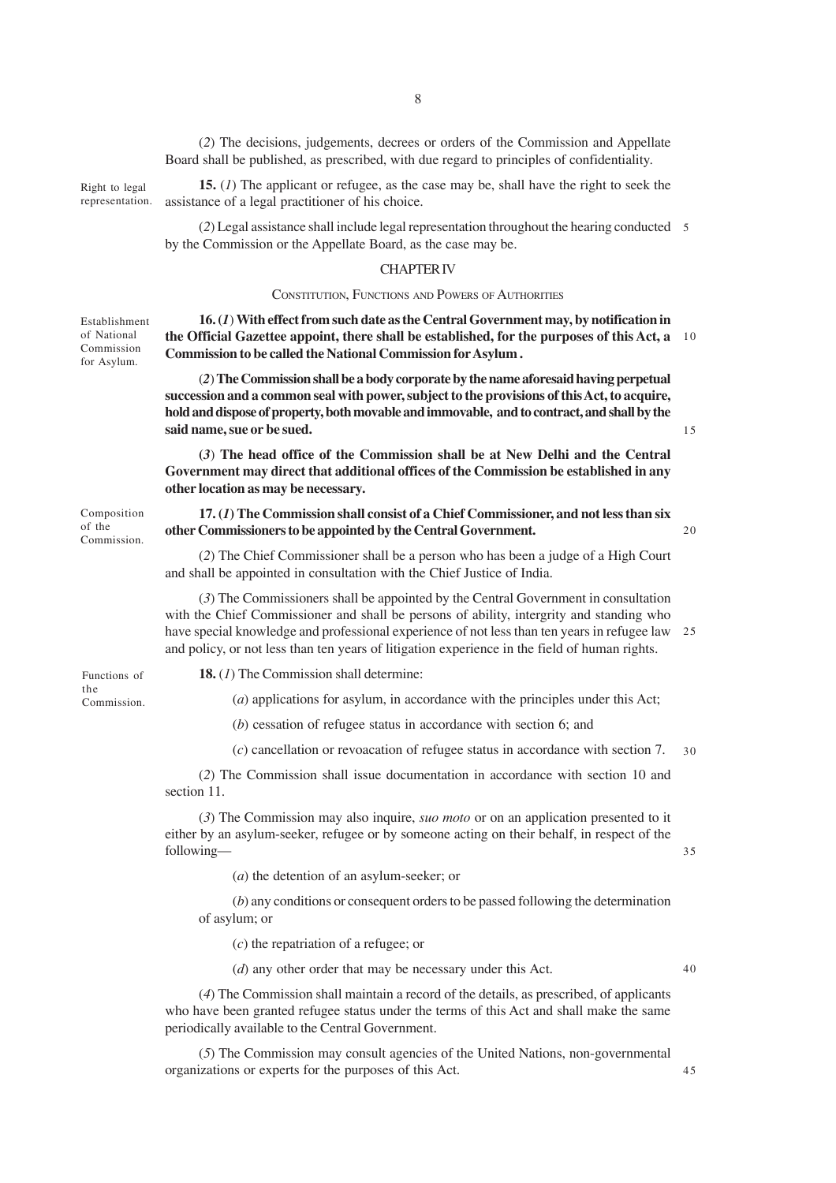(*2*) The decisions, judgements, decrees or orders of the Commission and Appellate Board shall be published, as prescribed, with due regard to principles of confidentiality.

Right to legal representation.

**15.** (*1*) The applicant or refugee, as the case may be, shall have the right to seek the assistance of a legal practitioner of his choice.

(*2*) Legal assistance shall include legal representation throughout the hearing conducted 5 by the Commission or the Appellate Board, as the case may be.

## CHAPTER IV

#### CONSTITUTION, FUNCTIONS AND POWERS OF AUTHORITIES

Establishment of National Commission for Asylum.

Composition of the Commission.

**16. (***1*) **With effect from such date as the Central Government may, by notification in the Official Gazettee appoint, there shall be established, for the purposes of this Act, a** 10 **Commission to be called the National Commission for Asylum .**

(*2*) **The Commission shall be a body corporate by the name aforesaid having perpetual succession and a common seal with power, subject to the provisions of this Act, to acquire, hold and dispose of property, both movable and immovable, and to contract, and shall by the said name, sue or be sued.**

**(***3*) **The head office of the Commission shall be at New Delhi and the Central Government may direct that additional offices of the Commission be established in any other location as may be necessary.**

**17. (***1***) The Commission shall consist of a Chief Commissioner, and not less than six other Commissioners to be appointed by the Central Government.**

 $20$ 

15

(*2*) The Chief Commissioner shall be a person who has been a judge of a High Court and shall be appointed in consultation with the Chief Justice of India.

(*3*) The Commissioners shall be appointed by the Central Government in consultation with the Chief Commissioner and shall be persons of ability, intergrity and standing who have special knowledge and professional experience of not less than ten years in refugee law 25 and policy, or not less than ten years of litigation experience in the field of human rights.

Functions of the Commission. **18.** (*1*) The Commission shall determine:

(*a*) applications for asylum, in accordance with the principles under this Act;

(*b*) cessation of refugee status in accordance with section 6; and

(*c*) cancellation or revoacation of refugee status in accordance with section 7.  $30$ 

(*2*) The Commission shall issue documentation in accordance with section 10 and section 11.

(*3*) The Commission may also inquire, *suo moto* or on an application presented to it either by an asylum-seeker, refugee or by someone acting on their behalf, in respect of the following—

(*a*) the detention of an asylum-seeker; or

(*b*) any conditions or consequent orders to be passed following the determination of asylum; or

(*c*) the repatriation of a refugee; or

(*d*) any other order that may be necessary under this Act.

40

45

35

(*4*) The Commission shall maintain a record of the details, as prescribed, of applicants who have been granted refugee status under the terms of this Act and shall make the same periodically available to the Central Government.

(*5*) The Commission may consult agencies of the United Nations, non-governmental organizations or experts for the purposes of this Act.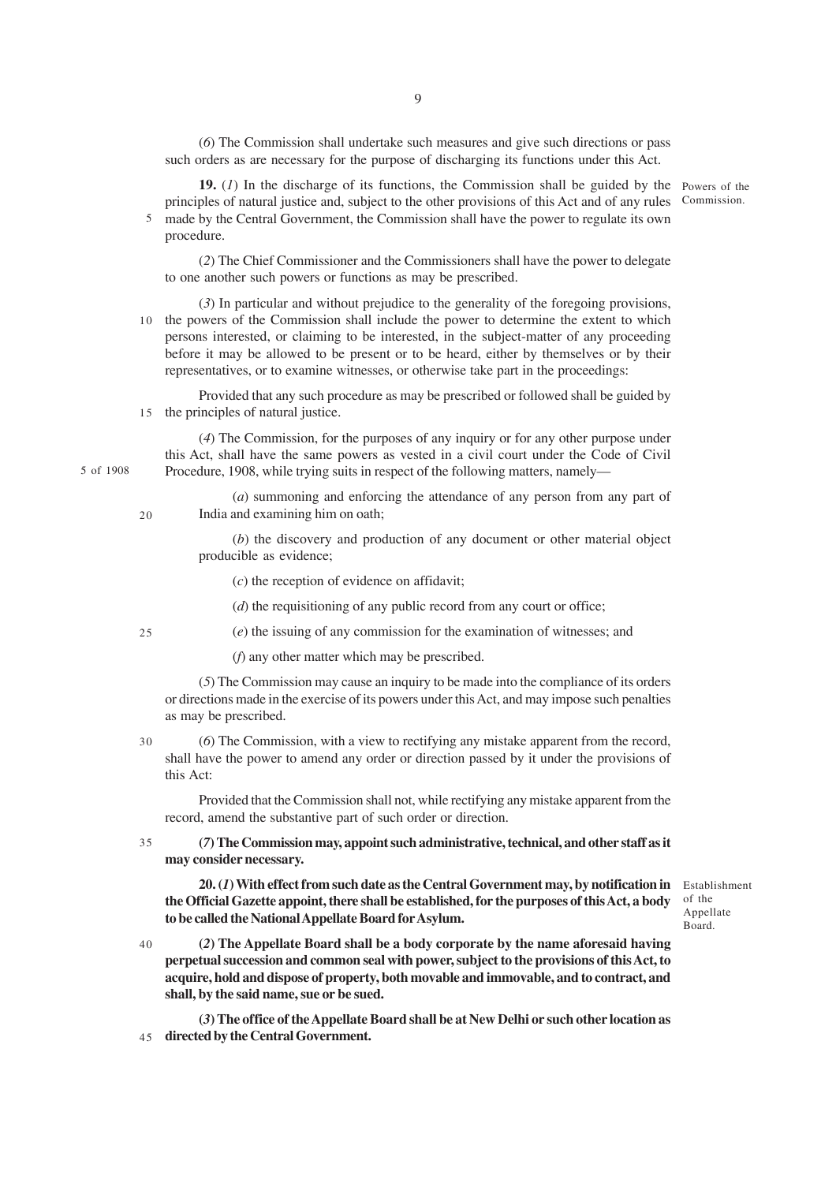(*6*) The Commission shall undertake such measures and give such directions or pass such orders as are necessary for the purpose of discharging its functions under this Act.

**19.** (*1*) In the discharge of its functions, the Commission shall be guided by the Powers of the principles of natural justice and, subject to the other provisions of this Act and of any rules made by the Central Government, the Commission shall have the power to regulate its own 5 procedure. Commission.

(*2*) The Chief Commissioner and the Commissioners shall have the power to delegate to one another such powers or functions as may be prescribed.

(*3*) In particular and without prejudice to the generality of the foregoing provisions, 10 the powers of the Commission shall include the power to determine the extent to which persons interested, or claiming to be interested, in the subject-matter of any proceeding before it may be allowed to be present or to be heard, either by themselves or by their representatives, or to examine witnesses, or otherwise take part in the proceedings:

Provided that any such procedure as may be prescribed or followed shall be guided by 15 the principles of natural justice.

(*4*) The Commission, for the purposes of any inquiry or for any other purpose under this Act, shall have the same powers as vested in a civil court under the Code of Civil Procedure, 1908, while trying suits in respect of the following matters, namely—

(*a*) summoning and enforcing the attendance of any person from any part of India and examining him on oath;

(*b*) the discovery and production of any document or other material object producible as evidence;

(*c*) the reception of evidence on affidavit;

(*d*) the requisitioning of any public record from any court or office;

(*e*) the issuing of any commission for the examination of witnesses; and

(*f*) any other matter which may be prescribed.

(*5*) The Commission may cause an inquiry to be made into the compliance of its orders or directions made in the exercise of its powers under this Act, and may impose such penalties as may be prescribed.

(*6*) The Commission, with a view to rectifying any mistake apparent from the record, shall have the power to amend any order or direction passed by it under the provisions of this Act: 30

Provided that the Commission shall not, while rectifying any mistake apparent from the record, amend the substantive part of such order or direction.

**(***7***) The Commission may, appoint such administrative, technical, and other staff as it may consider necessary.** 35

**20. (***1***) With effect from such date as the Central Government may, by notification in** Establishment **the Official Gazette appoint, there shall be established, for the purposes of this Act, a body to be called the National Appellate Board for Asylum.**

**(***2***) The Appellate Board shall be a body corporate by the name aforesaid having perpetual succession and common seal with power, subject to the provisions of this Act, to acquire, hold and dispose of property, both movable and immovable, and to contract, and shall, by the said name, sue or be sued.** 40

**(***3***) The office of the Appellate Board shall be at New Delhi or such other location as directed by the Central Government.** 45

5 of 1908

20

25

of the Appellate Board.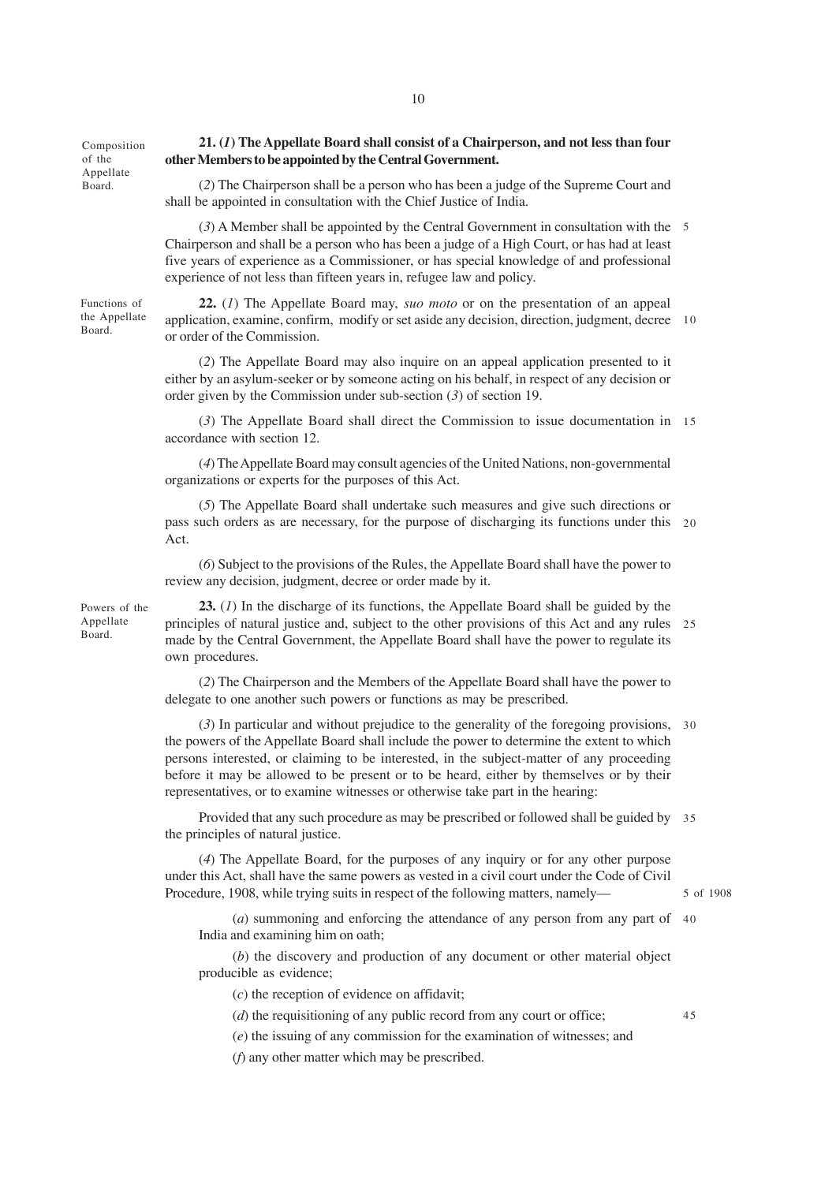Composition of the Appellate Board.

## **21. (***1***) The Appellate Board shall consist of a Chairperson, and not less than four other Members to be appointed by the Central Government.**

(*2*) The Chairperson shall be a person who has been a judge of the Supreme Court and shall be appointed in consultation with the Chief Justice of India.

(*3*) A Member shall be appointed by the Central Government in consultation with the 5 Chairperson and shall be a person who has been a judge of a High Court, or has had at least five years of experience as a Commissioner, or has special knowledge of and professional experience of not less than fifteen years in, refugee law and policy.

Functions of the Appellate Board.

**22.** (*1*) The Appellate Board may, *suo moto* or on the presentation of an appeal application, examine, confirm, modify or set aside any decision, direction, judgment, decree 10 or order of the Commission.

(*2*) The Appellate Board may also inquire on an appeal application presented to it either by an asylum-seeker or by someone acting on his behalf, in respect of any decision or order given by the Commission under sub-section (*3*) of section 19.

(*3*) The Appellate Board shall direct the Commission to issue documentation in 15 accordance with section 12.

(*4*) The Appellate Board may consult agencies of the United Nations, non-governmental organizations or experts for the purposes of this Act.

(*5*) The Appellate Board shall undertake such measures and give such directions or pass such orders as are necessary, for the purpose of discharging its functions under this 20 Act.

(*6*) Subject to the provisions of the Rules, the Appellate Board shall have the power to review any decision, judgment, decree or order made by it.

Powers of the Appellate Board.

**23.** (*1*) In the discharge of its functions, the Appellate Board shall be guided by the principles of natural justice and, subject to the other provisions of this Act and any rules 25 made by the Central Government, the Appellate Board shall have the power to regulate its own procedures.

(*2*) The Chairperson and the Members of the Appellate Board shall have the power to delegate to one another such powers or functions as may be prescribed.

(*3*) In particular and without prejudice to the generality of the foregoing provisions, 30 the powers of the Appellate Board shall include the power to determine the extent to which persons interested, or claiming to be interested, in the subject-matter of any proceeding before it may be allowed to be present or to be heard, either by themselves or by their representatives, or to examine witnesses or otherwise take part in the hearing:

Provided that any such procedure as may be prescribed or followed shall be guided by 35 the principles of natural justice.

(*4*) The Appellate Board, for the purposes of any inquiry or for any other purpose under this Act, shall have the same powers as vested in a civil court under the Code of Civil Procedure, 1908, while trying suits in respect of the following matters, namely—

(*a*) summoning and enforcing the attendance of any person from any part of 40 India and examining him on oath;

(*b*) the discovery and production of any document or other material object producible as evidence;

(*c*) the reception of evidence on affidavit;

(*d*) the requisitioning of any public record from any court or office;

(*e*) the issuing of any commission for the examination of witnesses; and

(*f*) any other matter which may be prescribed.

45

5 of 1908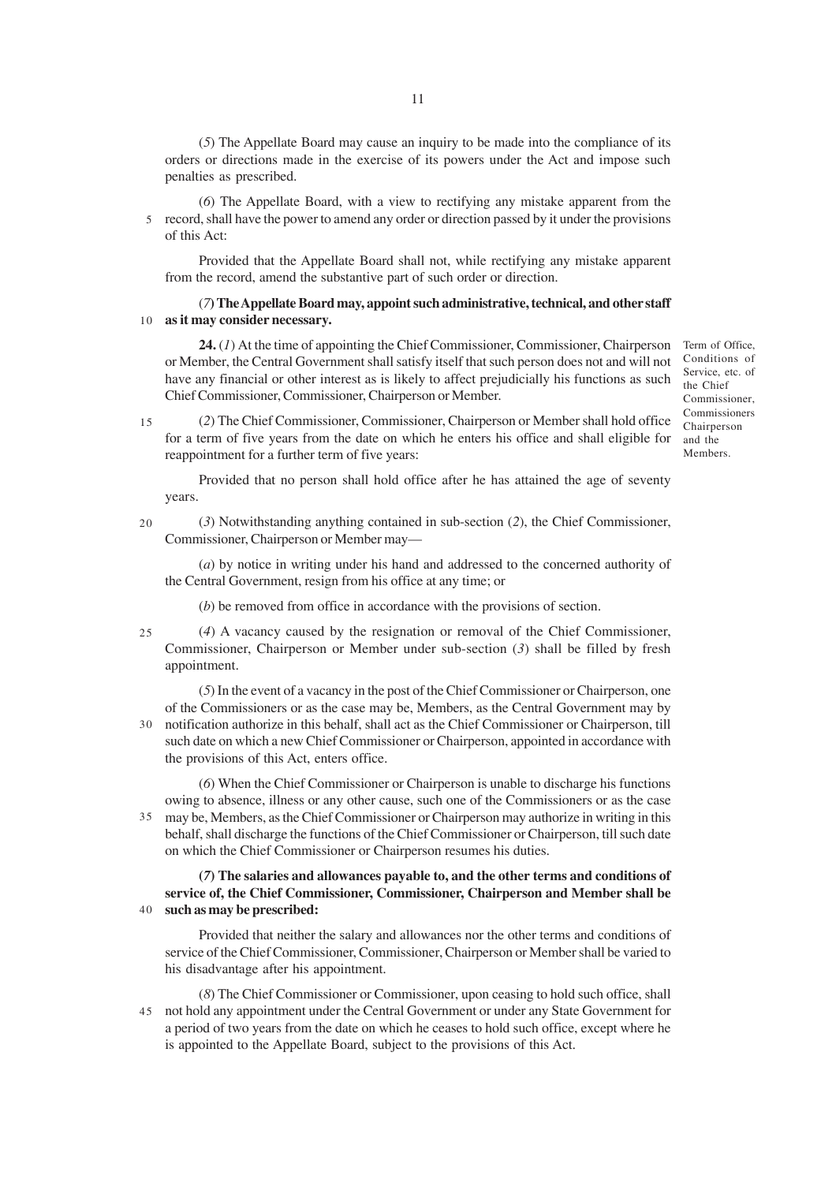(*5*) The Appellate Board may cause an inquiry to be made into the compliance of its orders or directions made in the exercise of its powers under the Act and impose such penalties as prescribed.

(*6*) The Appellate Board, with a view to rectifying any mistake apparent from the 5 record, shall have the power to amend any order or direction passed by it under the provisions of this Act:

Provided that the Appellate Board shall not, while rectifying any mistake apparent from the record, amend the substantive part of such order or direction.

## (*7***) The Appellate Board may, appoint such administrative, technical, and other staff as it may consider necessary.** 10

**24.** (*1*) At the time of appointing the Chief Commissioner, Commissioner, Chairperson or Member, the Central Government shall satisfy itself that such person does not and will not have any financial or other interest as is likely to affect prejudicially his functions as such Chief Commissioner, Commissioner, Chairperson or Member.

Term of Office, Conditions of Service, etc. of the Chief Commissioner, Commissioners Chairperson and the Members.

(*2*) The Chief Commissioner, Commissioner, Chairperson or Member shall hold office for a term of five years from the date on which he enters his office and shall eligible for reappointment for a further term of five years: 15

Provided that no person shall hold office after he has attained the age of seventy years.

(*3*) Notwithstanding anything contained in sub-section (*2*), the Chief Commissioner, Commissioner, Chairperson or Member may—  $20$ 

(*a*) by notice in writing under his hand and addressed to the concerned authority of the Central Government, resign from his office at any time; or

(*b*) be removed from office in accordance with the provisions of section.

(*4*) A vacancy caused by the resignation or removal of the Chief Commissioner, Commissioner, Chairperson or Member under sub-section (*3*) shall be filled by fresh appointment. 25

(*5*) In the event of a vacancy in the post of the Chief Commissioner or Chairperson, one of the Commissioners or as the case may be, Members, as the Central Government may by notification authorize in this behalf, shall act as the Chief Commissioner or Chairperson, till 30 such date on which a new Chief Commissioner or Chairperson, appointed in accordance with the provisions of this Act, enters office.

(*6*) When the Chief Commissioner or Chairperson is unable to discharge his functions owing to absence, illness or any other cause, such one of the Commissioners or as the case may be, Members, as the Chief Commissioner or Chairperson may authorize in writing in this 35 behalf, shall discharge the functions of the Chief Commissioner or Chairperson, till such date on which the Chief Commissioner or Chairperson resumes his duties.

**(***7***) The salaries and allowances payable to, and the other terms and conditions of service of, the Chief Commissioner, Commissioner, Chairperson and Member shall be such as may be prescribed:** 40

Provided that neither the salary and allowances nor the other terms and conditions of service of the Chief Commissioner, Commissioner, Chairperson or Member shall be varied to his disadvantage after his appointment.

(*8*) The Chief Commissioner or Commissioner, upon ceasing to hold such office, shall not hold any appointment under the Central Government or under any State Government for 45a period of two years from the date on which he ceases to hold such office, except where he is appointed to the Appellate Board, subject to the provisions of this Act.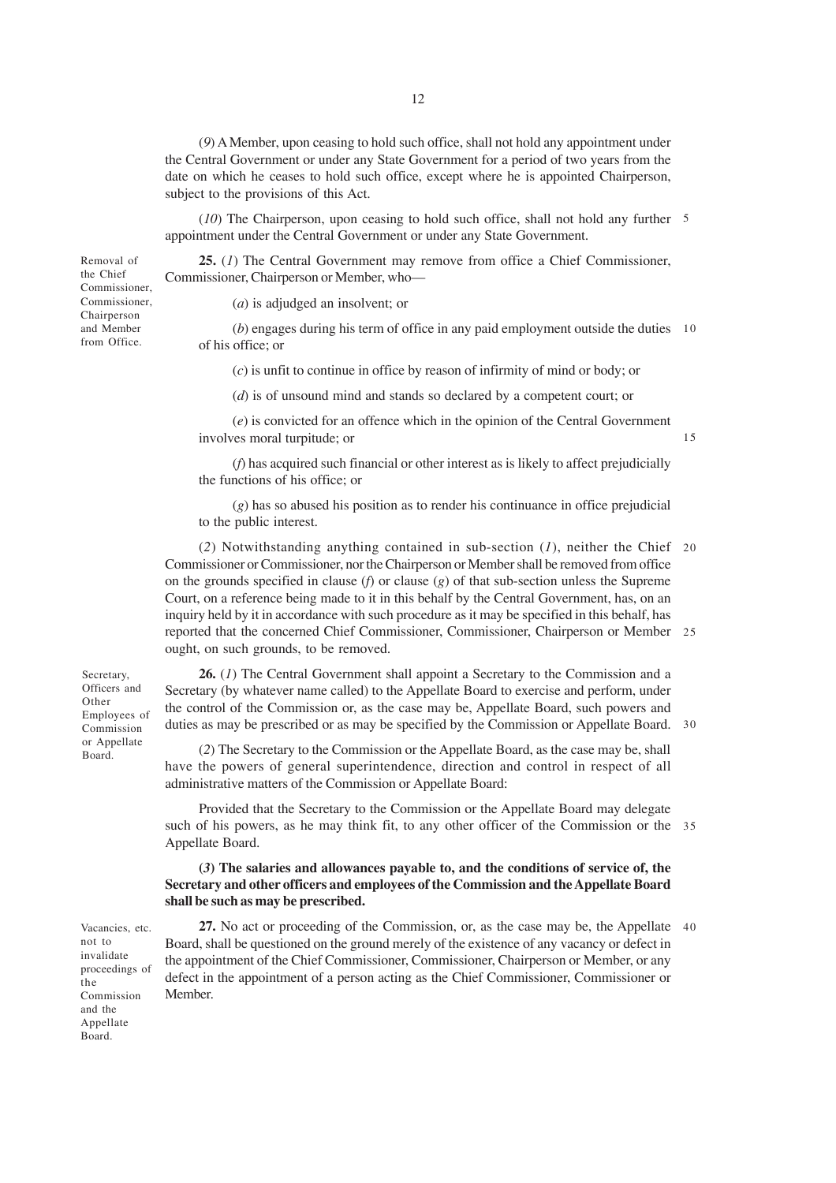(*9*) A Member, upon ceasing to hold such office, shall not hold any appointment under the Central Government or under any State Government for a period of two years from the date on which he ceases to hold such office, except where he is appointed Chairperson, subject to the provisions of this Act.

(*10*) The Chairperson, upon ceasing to hold such office, shall not hold any further 5 appointment under the Central Government or under any State Government.

**25.** (*1*) The Central Government may remove from office a Chief Commissioner, Commissioner, Chairperson or Member, who—

(*a*) is adjudged an insolvent; or

(*b*) engages during his term of office in any paid employment outside the duties 10 of his office; or

(*c*) is unfit to continue in office by reason of infirmity of mind or body; or

(*d*) is of unsound mind and stands so declared by a competent court; or

(*e*) is convicted for an offence which in the opinion of the Central Government involves moral turpitude; or

(*f*) has acquired such financial or other interest as is likely to affect prejudicially the functions of his office; or

(*g*) has so abused his position as to render his continuance in office prejudicial to the public interest.

(*2*) Notwithstanding anything contained in sub-section (*1*), neither the Chief 20 Commissioner or Commissioner, nor the Chairperson or Member shall be removed from office on the grounds specified in clause (*f*) or clause (*g*) of that sub-section unless the Supreme Court, on a reference being made to it in this behalf by the Central Government, has, on an inquiry held by it in accordance with such procedure as it may be specified in this behalf, has reported that the concerned Chief Commissioner, Commissioner, Chairperson or Member 25 ought, on such grounds, to be removed.

**26.** (*1*) The Central Government shall appoint a Secretary to the Commission and a Secretary (by whatever name called) to the Appellate Board to exercise and perform, under the control of the Commission or, as the case may be, Appellate Board, such powers and duties as may be prescribed or as may be specified by the Commission or Appellate Board. 30

(*2*) The Secretary to the Commission or the Appellate Board, as the case may be, shall have the powers of general superintendence, direction and control in respect of all administrative matters of the Commission or Appellate Board:

Provided that the Secretary to the Commission or the Appellate Board may delegate such of his powers, as he may think fit, to any other officer of the Commission or the 35 Appellate Board.

## **(***3***) The salaries and allowances payable to, and the conditions of service of, the Secretary and other officers and employees of the Commission and the Appellate Board shall be such as may be prescribed.**

27. No act or proceeding of the Commission, or, as the case may be, the Appellate 40 Board, shall be questioned on the ground merely of the existence of any vacancy or defect in the appointment of the Chief Commissioner, Commissioner, Chairperson or Member, or any defect in the appointment of a person acting as the Chief Commissioner, Commissioner or Member.

Secretary, Officers and Other Employees of Commission or Appellate Board.

Removal of the Chief Commissioner, Commissioner, Chairperson and Member from Office.

not to invalidate proceedings of the Commission and the **Appellate** Board.

Vacancies, etc.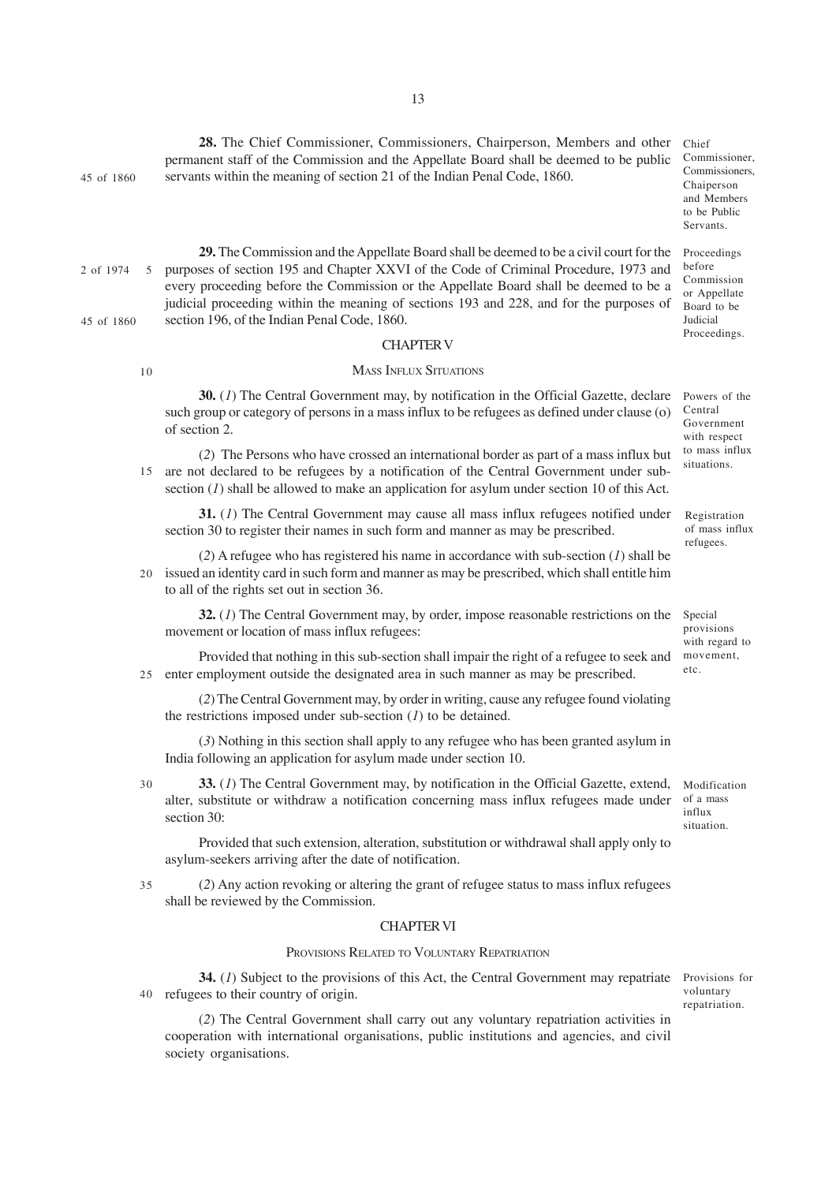45 of 1860

10

**29.** The Commission and the Appellate Board shall be deemed to be a civil court for the purposes of section 195 and Chapter XXVI of the Code of Criminal Procedure, 1973 and every proceeding before the Commission or the Appellate Board shall be deemed to be a judicial proceeding within the meaning of sections 193 and 228, and for the purposes of section 196, of the Indian Penal Code, 1860. 2 of 1974 45 of 1860 5

servants within the meaning of section 21 of the Indian Penal Code, 1860.

## CHAPTER V

#### MASS INFLUX SITUATIONS

**30.** (*1*) The Central Government may, by notification in the Official Gazette, declare such group or category of persons in a mass influx to be refugees as defined under clause (o) of section 2.

(*2*) The Persons who have crossed an international border as part of a mass influx but 15 are not declared to be refugees by a notification of the Central Government under subsection (*1*) shall be allowed to make an application for asylum under section 10 of this Act.

**31.** (*1*) The Central Government may cause all mass influx refugees notified under section 30 to register their names in such form and manner as may be prescribed.

(*2*) A refugee who has registered his name in accordance with sub-section (*1*) shall be issued an identity card in such form and manner as may be prescribed, which shall entitle him 20 to all of the rights set out in section 36.

**32.** (*1*) The Central Government may, by order, impose reasonable restrictions on the movement or location of mass influx refugees:

Provided that nothing in this sub-section shall impair the right of a refugee to seek and enter employment outside the designated area in such manner as may be prescribed. 25

(*2*) The Central Government may, by order in writing, cause any refugee found violating the restrictions imposed under sub-section (*1*) to be detained.

(*3*) Nothing in this section shall apply to any refugee who has been granted asylum in India following an application for asylum made under section 10.

30

**33.** (*1*) The Central Government may, by notification in the Official Gazette, extend, alter, substitute or withdraw a notification concerning mass influx refugees made under section 30:

Provided that such extension, alteration, substitution or withdrawal shall apply only to asylum-seekers arriving after the date of notification.

(*2*) Any action revoking or altering the grant of refugee status to mass influx refugees shall be reviewed by the Commission. 35

## CHAPTER VI

## PROVISIONS RELATED TO VOLUNTARY REPATRIATION

**34.** (*1*) Subject to the provisions of this Act, the Central Government may repatriate refugees to their country of origin. 40

(*2*) The Central Government shall carry out any voluntary repatriation activities in cooperation with international organisations, public institutions and agencies, and civil society organisations.

Provisions for voluntary repatriation.

Registration

of mass influx refugees.

Chief Commissioner, Commissioners, Chaiperson and Members to be Public Servants.

Proceedings before Commission or Appellate Board to be Judicial Proceedings.

Powers of the Central Government with respect to mass influx situations.

Special provisions with regard to movement, etc.

Modification of a mass influx situation.

**28.** The Chief Commissioner, Commissioners, Chairperson, Members and other permanent staff of the Commission and the Appellate Board shall be deemed to be public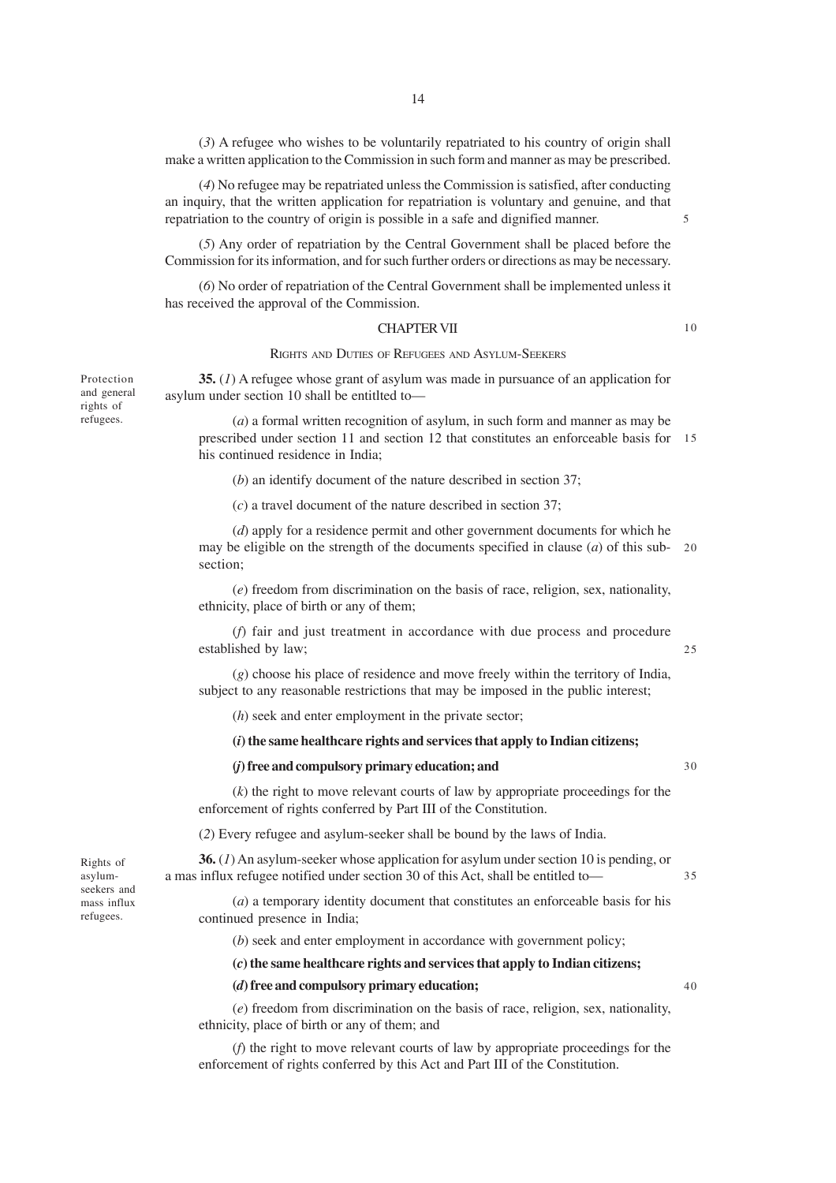(*3*) A refugee who wishes to be voluntarily repatriated to his country of origin shall make a written application to the Commission in such form and manner as may be prescribed.

(*4*) No refugee may be repatriated unless the Commission is satisfied, after conducting an inquiry, that the written application for repatriation is voluntary and genuine, and that repatriation to the country of origin is possible in a safe and dignified manner.

(*5*) Any order of repatriation by the Central Government shall be placed before the Commission for its information, and for such further orders or directions as may be necessary.

(*6*) No order of repatriation of the Central Government shall be implemented unless it has received the approval of the Commission.

#### CHAPTER VII

#### RIGHTS AND DUTIES OF REFUGEES AND ASYLUM-SEEKERS

**35.** (*1*) A refugee whose grant of asylum was made in pursuance of an application for asylum under section 10 shall be entitlted to—

(*a*) a formal written recognition of asylum, in such form and manner as may be prescribed under section 11 and section 12 that constitutes an enforceable basis for 15 his continued residence in India;

(*b*) an identify document of the nature described in section 37;

(*c*) a travel document of the nature described in section 37;

(*d*) apply for a residence permit and other government documents for which he may be eligible on the strength of the documents specified in clause (*a*) of this sub-20 section;

(*e*) freedom from discrimination on the basis of race, religion, sex, nationality, ethnicity, place of birth or any of them;

(*f*) fair and just treatment in accordance with due process and procedure established by law;

(*g*) choose his place of residence and move freely within the territory of India, subject to any reasonable restrictions that may be imposed in the public interest;

(*h*) seek and enter employment in the private sector;

#### **(***i***) the same healthcare rights and services that apply to Indian citizens;**

## **(***j***) free and compulsory primary education; and**

30

35

(*k*) the right to move relevant courts of law by appropriate proceedings for the enforcement of rights conferred by Part III of the Constitution.

(*2*) Every refugee and asylum-seeker shall be bound by the laws of India.

**36.** (*1*) An asylum-seeker whose application for asylum under section 10 is pending, or a mas influx refugee notified under section 30 of this Act, shall be entitled to—

(*a*) a temporary identity document that constitutes an enforceable basis for his continued presence in India;

(*b*) seek and enter employment in accordance with government policy;

**(***c***) the same healthcare rights and services that apply to Indian citizens;**

#### **(***d***) free and compulsory primary education;**

(*e*) freedom from discrimination on the basis of race, religion, sex, nationality, ethnicity, place of birth or any of them; and

(*f*) the right to move relevant courts of law by appropriate proceedings for the enforcement of rights conferred by this Act and Part III of the Constitution.

Protection and general rights of refugees.

25

5

10

Rights of asylumseekers and mass influx refugees.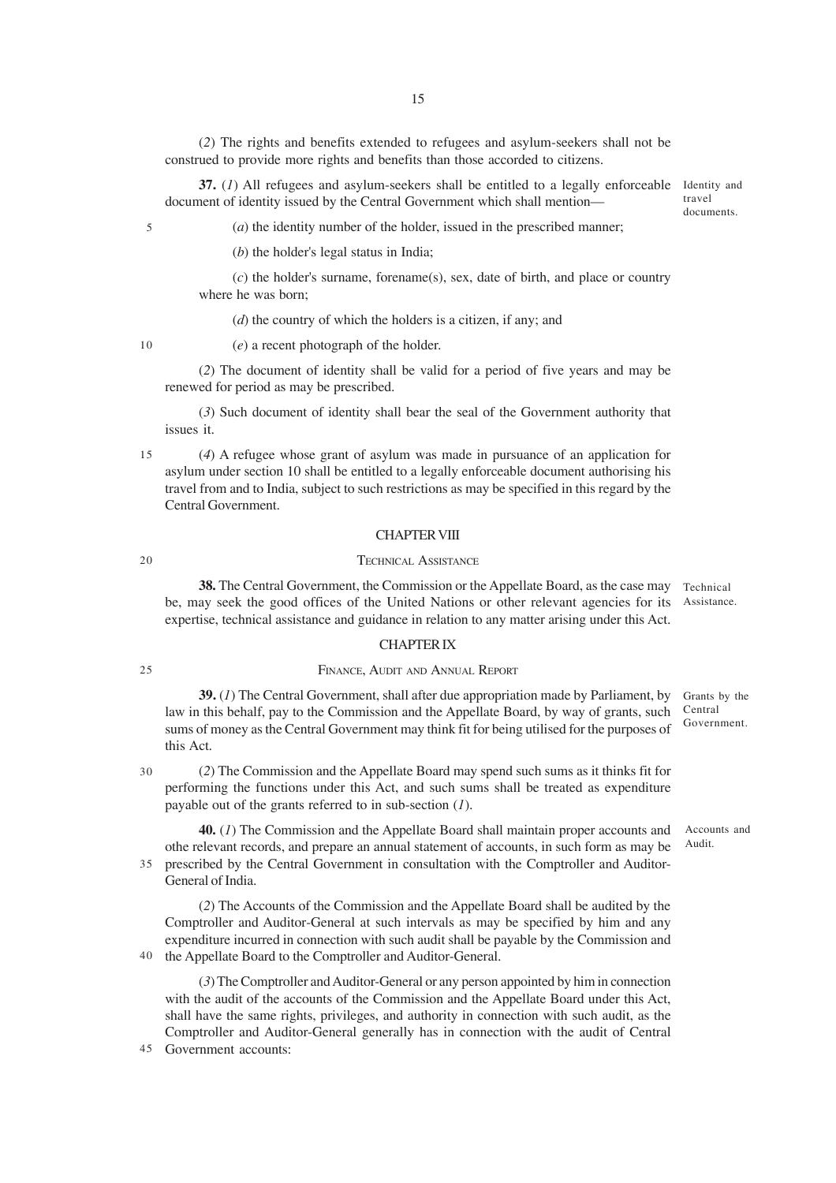(*2*) The rights and benefits extended to refugees and asylum-seekers shall not be construed to provide more rights and benefits than those accorded to citizens.

**37.** (*1*) All refugees and asylum-seekers shall be entitled to a legally enforceable document of identity issued by the Central Government which shall mention—

Identity and travel documents.

5

(*a*) the identity number of the holder, issued in the prescribed manner;

(*b*) the holder's legal status in India;

(*c*) the holder's surname, forename(s), sex, date of birth, and place or country where he was born;

(*d*) the country of which the holders is a citizen, if any; and

10

(*e*) a recent photograph of the holder.

(*2*) The document of identity shall be valid for a period of five years and may be renewed for period as may be prescribed.

(*3*) Such document of identity shall bear the seal of the Government authority that issues it.

15

20

(*4*) A refugee whose grant of asylum was made in pursuance of an application for asylum under section 10 shall be entitled to a legally enforceable document authorising his travel from and to India, subject to such restrictions as may be specified in this regard by the Central Government.

## CHAPTER VIII

### TECHNICAL ASSISTANCE

**38.** The Central Government, the Commission or the Appellate Board, as the case may rechnical be, may seek the good offices of the United Nations or other relevant agencies for its Assistance. expertise, technical assistance and guidance in relation to any matter arising under this Act.

#### CHAPTER IX

## 25

#### FINANCE, AUDIT AND ANNUAL REPORT

**39.** (*1*) The Central Government, shall after due appropriation made by Parliament, by law in this behalf, pay to the Commission and the Appellate Board, by way of grants, such sums of money as the Central Government may think fit for being utilised for the purposes of this Act. Grants by the Central Government.

30

(*2*) The Commission and the Appellate Board may spend such sums as it thinks fit for performing the functions under this Act, and such sums shall be treated as expenditure payable out of the grants referred to in sub-section (*1*).

**40.** (*1*) The Commission and the Appellate Board shall maintain proper accounts and othe relevant records, and prepare an annual statement of accounts, in such form as may be prescribed by the Central Government in consultation with the Comptroller and Auditor-35 General of India. Accounts and Audit.

(*2*) The Accounts of the Commission and the Appellate Board shall be audited by the Comptroller and Auditor-General at such intervals as may be specified by him and any expenditure incurred in connection with such audit shall be payable by the Commission and 40 the Appellate Board to the Comptroller and Auditor-General.

(*3*) The Comptroller and Auditor-General or any person appointed by him in connection with the audit of the accounts of the Commission and the Appellate Board under this Act, shall have the same rights, privileges, and authority in connection with such audit, as the Comptroller and Auditor-General generally has in connection with the audit of Central

Government accounts: 45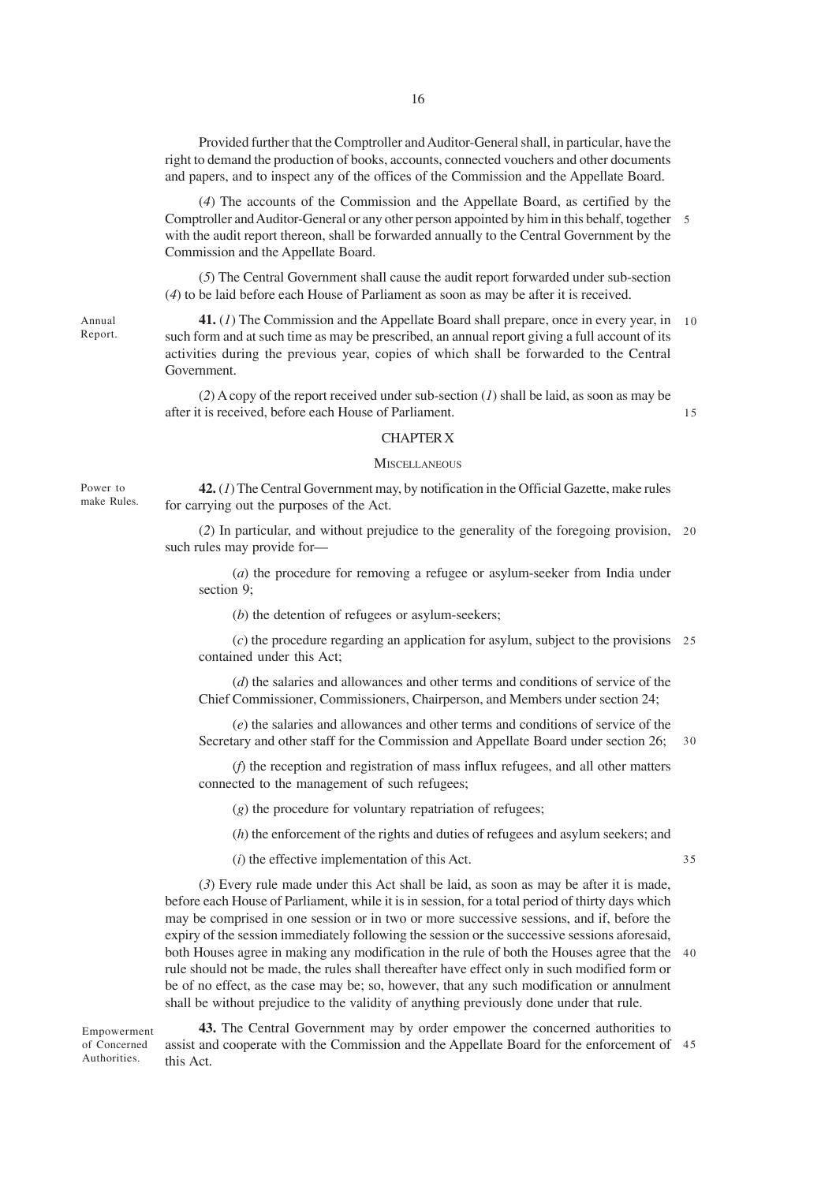Provided further that the Comptroller and Auditor-General shall, in particular, have the right to demand the production of books, accounts, connected vouchers and other documents and papers, and to inspect any of the offices of the Commission and the Appellate Board.

(*4*) The accounts of the Commission and the Appellate Board, as certified by the Comptroller and Auditor-General or any other person appointed by him in this behalf, together 5 with the audit report thereon, shall be forwarded annually to the Central Government by the Commission and the Appellate Board.

(*5*) The Central Government shall cause the audit report forwarded under sub-section (*4*) to be laid before each House of Parliament as soon as may be after it is received.

**41.** (*1*) The Commission and the Appellate Board shall prepare, once in every year, in 10 such form and at such time as may be prescribed, an annual report giving a full account of its activities during the previous year, copies of which shall be forwarded to the Central Government.

(*2*) A copy of the report received under sub-section (*1*) shall be laid, as soon as may be after it is received, before each House of Parliament.

15

#### CHAPTER X

### **MISCELLANEOUS**

**42.** (*1*) The Central Government may, by notification in the Official Gazette, make rules for carrying out the purposes of the Act.

(*2*) In particular, and without prejudice to the generality of the foregoing provision, 20 such rules may provide for—

(*a*) the procedure for removing a refugee or asylum-seeker from India under section 9;

(*b*) the detention of refugees or asylum-seekers;

(*c*) the procedure regarding an application for asylum, subject to the provisions 25 contained under this Act;

(*d*) the salaries and allowances and other terms and conditions of service of the Chief Commissioner, Commissioners, Chairperson, and Members under section 24;

(*e*) the salaries and allowances and other terms and conditions of service of the Secretary and other staff for the Commission and Appellate Board under section 26;

30

(*f*) the reception and registration of mass influx refugees, and all other matters connected to the management of such refugees;

(*g*) the procedure for voluntary repatriation of refugees;

(*h*) the enforcement of the rights and duties of refugees and asylum seekers; and

(*i*) the effective implementation of this Act.

35

(*3*) Every rule made under this Act shall be laid, as soon as may be after it is made, before each House of Parliament, while it is in session, for a total period of thirty days which may be comprised in one session or in two or more successive sessions, and if, before the expiry of the session immediately following the session or the successive sessions aforesaid, both Houses agree in making any modification in the rule of both the Houses agree that the 40 rule should not be made, the rules shall thereafter have effect only in such modified form or be of no effect, as the case may be; so, however, that any such modification or annulment shall be without prejudice to the validity of anything previously done under that rule.

Empowerment of Concerned **Authorities** 

**43.** The Central Government may by order empower the concerned authorities to assist and cooperate with the Commission and the Appellate Board for the enforcement of 45this Act.

Power to make Rules.

Annual Report.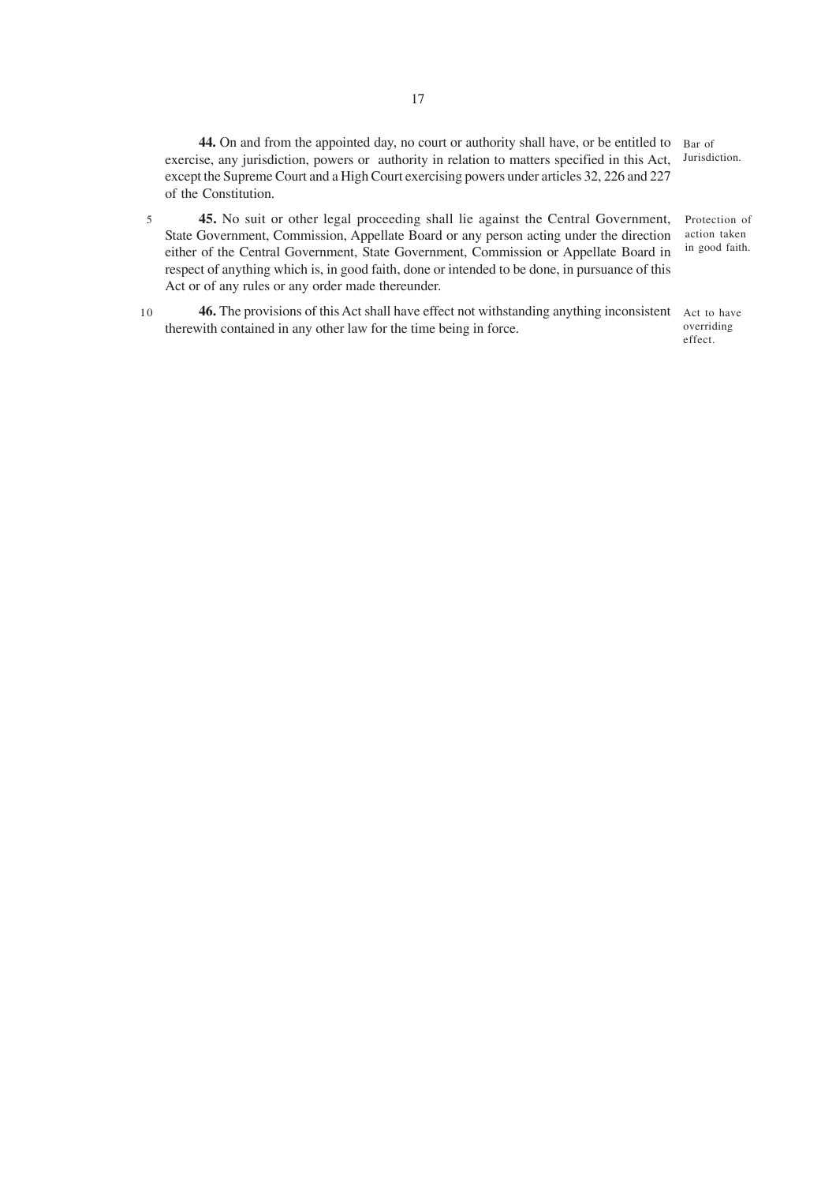**44.** On and from the appointed day, no court or authority shall have, or be entitled to Bar of exercise, any jurisdiction, powers or authority in relation to matters specified in this Act, Jurisdiction. except the Supreme Court and a High Court exercising powers under articles 32, 226 and 227 of the Constitution.

- **45.** No suit or other legal proceeding shall lie against the Central Government, State Government, Commission, Appellate Board or any person acting under the direction either of the Central Government, State Government, Commission or Appellate Board in respect of anything which is, in good faith, done or intended to be done, in pursuance of this Act or of any rules or any order made thereunder. Protection of action taken in good faith. 5
- **46.** The provisions of this Act shall have effect not withstanding anything inconsistent Act to have therewith contained in any other law for the time being in force. 10

overriding effect.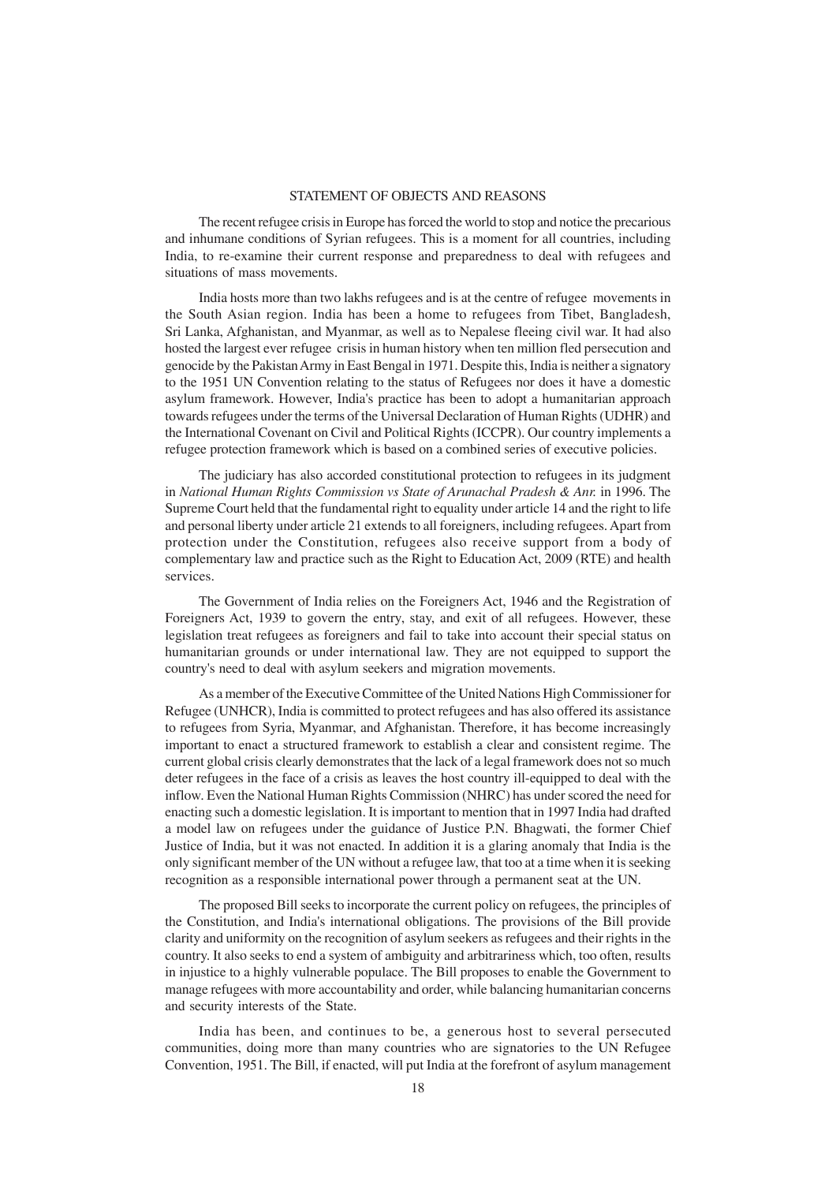## STATEMENT OF OBJECTS AND REASONS

The recent refugee crisis in Europe has forced the world to stop and notice the precarious and inhumane conditions of Syrian refugees. This is a moment for all countries, including India, to re-examine their current response and preparedness to deal with refugees and situations of mass movements.

India hosts more than two lakhs refugees and is at the centre of refugee movements in the South Asian region. India has been a home to refugees from Tibet, Bangladesh, Sri Lanka, Afghanistan, and Myanmar, as well as to Nepalese fleeing civil war. It had also hosted the largest ever refugee crisis in human history when ten million fled persecution and genocide by the Pakistan Army in East Bengal in 1971. Despite this, India is neither a signatory to the 1951 UN Convention relating to the status of Refugees nor does it have a domestic asylum framework. However, India's practice has been to adopt a humanitarian approach towards refugees under the terms of the Universal Declaration of Human Rights (UDHR) and the International Covenant on Civil and Political Rights (ICCPR). Our country implements a refugee protection framework which is based on a combined series of executive policies.

The judiciary has also accorded constitutional protection to refugees in its judgment in *National Human Rights Commission vs State of Arunachal Pradesh & Anr.* in 1996. The Supreme Court held that the fundamental right to equality under article 14 and the right to life and personal liberty under article 21 extends to all foreigners, including refugees. Apart from protection under the Constitution, refugees also receive support from a body of complementary law and practice such as the Right to Education Act, 2009 (RTE) and health services.

The Government of India relies on the Foreigners Act, 1946 and the Registration of Foreigners Act, 1939 to govern the entry, stay, and exit of all refugees. However, these legislation treat refugees as foreigners and fail to take into account their special status on humanitarian grounds or under international law. They are not equipped to support the country's need to deal with asylum seekers and migration movements.

As a member of the Executive Committee of the United Nations High Commissioner for Refugee (UNHCR), India is committed to protect refugees and has also offered its assistance to refugees from Syria, Myanmar, and Afghanistan. Therefore, it has become increasingly important to enact a structured framework to establish a clear and consistent regime. The current global crisis clearly demonstrates that the lack of a legal framework does not so much deter refugees in the face of a crisis as leaves the host country ill-equipped to deal with the inflow. Even the National Human Rights Commission (NHRC) has under scored the need for enacting such a domestic legislation. It is important to mention that in 1997 India had drafted a model law on refugees under the guidance of Justice P.N. Bhagwati, the former Chief Justice of India, but it was not enacted. In addition it is a glaring anomaly that India is the only significant member of the UN without a refugee law, that too at a time when it is seeking recognition as a responsible international power through a permanent seat at the UN.

The proposed Bill seeks to incorporate the current policy on refugees, the principles of the Constitution, and India's international obligations. The provisions of the Bill provide clarity and uniformity on the recognition of asylum seekers as refugees and their rights in the country. It also seeks to end a system of ambiguity and arbitrariness which, too often, results in injustice to a highly vulnerable populace. The Bill proposes to enable the Government to manage refugees with more accountability and order, while balancing humanitarian concerns and security interests of the State.

India has been, and continues to be, a generous host to several persecuted communities, doing more than many countries who are signatories to the UN Refugee Convention, 1951. The Bill, if enacted, will put India at the forefront of asylum management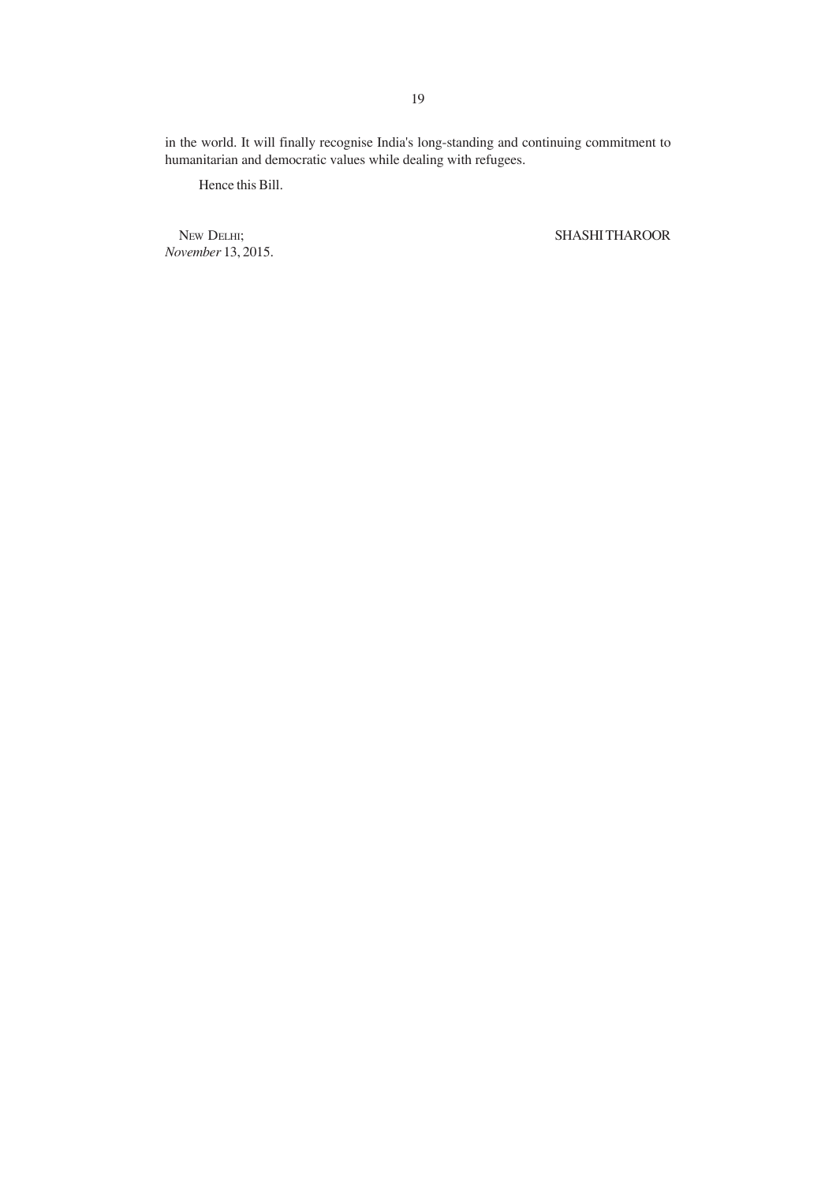in the world. It will finally recognise India's long-standing and continuing commitment to humanitarian and democratic values while dealing with refugees.

Hence this Bill.

*November* 13, 2015.

NEW DELHI; SHASHI THAROOR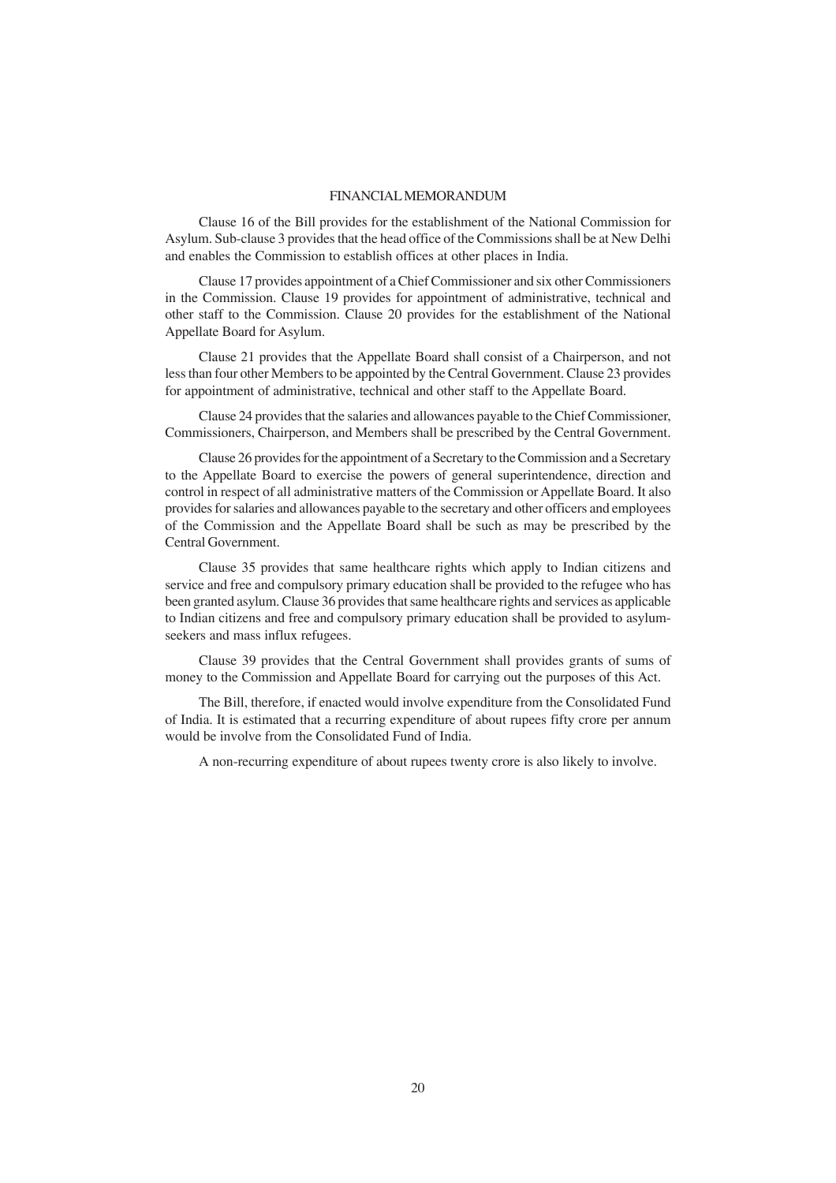#### FINANCIAL MEMORANDUM

Clause 16 of the Bill provides for the establishment of the National Commission for Asylum. Sub-clause 3 provides that the head office of the Commissions shall be at New Delhi and enables the Commission to establish offices at other places in India.

Clause 17 provides appointment of a Chief Commissioner and six other Commissioners in the Commission. Clause 19 provides for appointment of administrative, technical and other staff to the Commission. Clause 20 provides for the establishment of the National Appellate Board for Asylum.

Clause 21 provides that the Appellate Board shall consist of a Chairperson, and not less than four other Members to be appointed by the Central Government. Clause 23 provides for appointment of administrative, technical and other staff to the Appellate Board.

Clause 24 provides that the salaries and allowances payable to the Chief Commissioner, Commissioners, Chairperson, and Members shall be prescribed by the Central Government.

Clause 26 provides for the appointment of a Secretary to the Commission and a Secretary to the Appellate Board to exercise the powers of general superintendence, direction and control in respect of all administrative matters of the Commission or Appellate Board. It also provides for salaries and allowances payable to the secretary and other officers and employees of the Commission and the Appellate Board shall be such as may be prescribed by the Central Government.

Clause 35 provides that same healthcare rights which apply to Indian citizens and service and free and compulsory primary education shall be provided to the refugee who has been granted asylum. Clause 36 provides that same healthcare rights and services as applicable to Indian citizens and free and compulsory primary education shall be provided to asylumseekers and mass influx refugees.

Clause 39 provides that the Central Government shall provides grants of sums of money to the Commission and Appellate Board for carrying out the purposes of this Act.

The Bill, therefore, if enacted would involve expenditure from the Consolidated Fund of India. It is estimated that a recurring expenditure of about rupees fifty crore per annum would be involve from the Consolidated Fund of India.

A non-recurring expenditure of about rupees twenty crore is also likely to involve.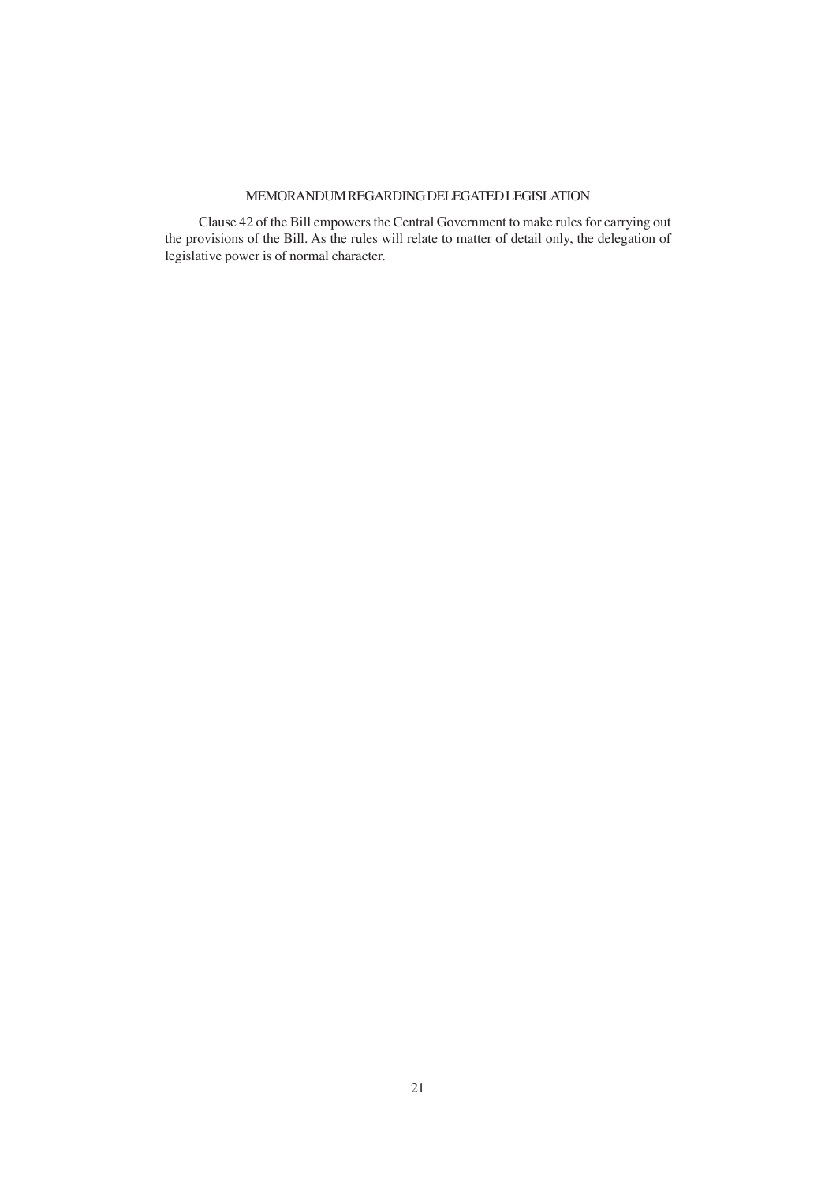# MEMORANDUM REGARDING DELEGATED LEGISLATION

Clause 42 of the Bill empowers the Central Government to make rules for carrying out the provisions of the Bill. As the rules will relate to matter of detail only, the delegation of legislative power is of normal character.